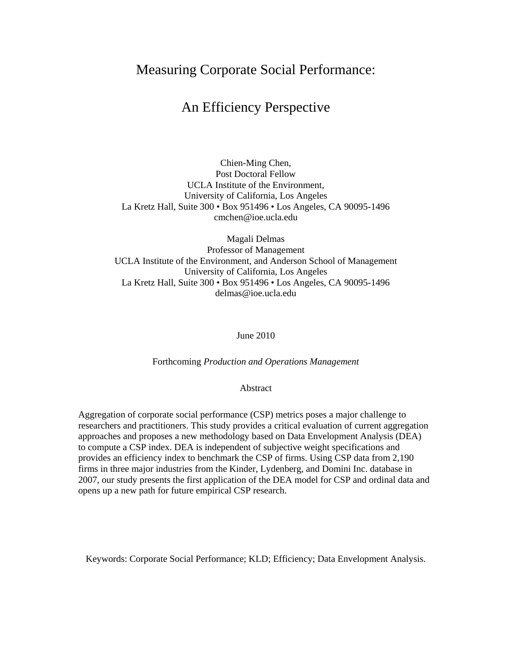# Measuring Corporate Social Performance:

# An Efficiency Perspective

Chien-Ming Chen, Post Doctoral Fellow UCLA Institute of the Environment, University of California, Los Angeles La Kretz Hall, Suite 300 • Box 951496 • Los Angeles, CA 90095-1496 cmchen@ioe.ucla.edu

Magali Delmas Professor of Management UCLA Institute of the Environment, and Anderson School of Management University of California, Los Angeles La Kretz Hall, Suite 300 • Box 951496 • Los Angeles, CA 90095-1496 delmas@ioe.ucla.edu

June 2010

Forthcoming *Production and Operations Management*

Abstract

Aggregation of corporate social performance (CSP) metrics poses a major challenge to researchers and practitioners. This study provides a critical evaluation of current aggregation approaches and proposes a new methodology based on Data Envelopment Analysis (DEA) to compute a CSP index. DEA is independent of subjective weight specifications and provides an efficiency index to benchmark the CSP of firms. Using CSP data from 2,190 firms in three major industries from the Kinder, Lydenberg, and Domini Inc. database in 2007, our study presents the first application of the DEA model for CSP and ordinal data and opens up a new path for future empirical CSP research.

Keywords: Corporate Social Performance; KLD; Efficiency; Data Envelopment Analysis.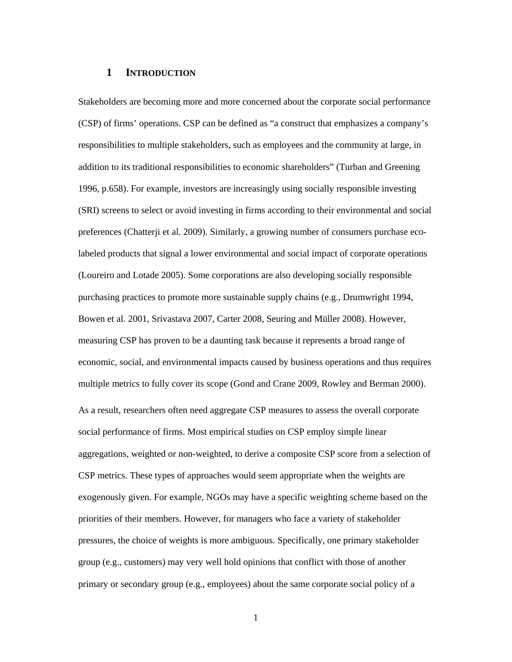### **1 INTRODUCTION**

Stakeholders are becoming more and more concerned about the corporate social performance (CSP) of firms' operations. CSP can be defined as "a construct that emphasizes a company's responsibilities to multiple stakeholders, such as employees and the community at large, in addition to its traditional responsibilities to economic shareholders" (Turban and Greening 1996, p.658). For example, investors are increasingly using socially responsible investing (SRI) screens to select or avoid investing in firms according to their environmental and social preferences (Chatterji et al. 2009). Similarly, a growing number of consumers purchase ecolabeled products that signal a lower environmental and social impact of corporate operations (Loureiro and Lotade 2005). Some corporations are also developing socially responsible purchasing practices to promote more sustainable supply chains (e.g., Drumwright 1994, Bowen et al. 2001, Srivastava 2007, Carter 2008, Seuring and Müller 2008). However, measuring CSP has proven to be a daunting task because it represents a broad range of economic, social, and environmental impacts caused by business operations and thus requires multiple metrics to fully cover its scope (Gond and Crane 2009, Rowley and Berman 2000). As a result, researchers often need aggregate CSP measures to assess the overall corporate social performance of firms. Most empirical studies on CSP employ simple linear aggregations, weighted or non-weighted, to derive a composite CSP score from a selection of CSP metrics. These types of approaches would seem appropriate when the weights are exogenously given. For example, NGOs may have a specific weighting scheme based on the priorities of their members. However, for managers who face a variety of stakeholder pressures, the choice of weights is more ambiguous. Specifically, one primary stakeholder group (e.g., customers) may very well hold opinions that conflict with those of another primary or secondary group (e.g., employees) about the same corporate social policy of a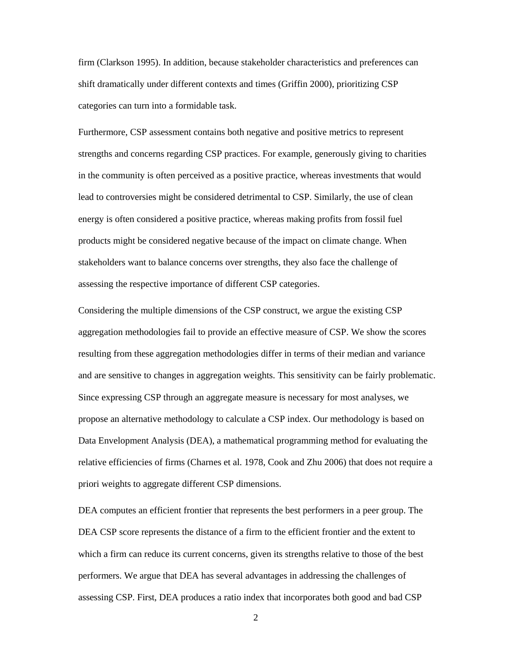firm (Clarkson 1995). In addition, because stakeholder characteristics and preferences can shift dramatically under different contexts and times (Griffin 2000), prioritizing CSP categories can turn into a formidable task.

Furthermore, CSP assessment contains both negative and positive metrics to represent strengths and concerns regarding CSP practices. For example, generously giving to charities in the community is often perceived as a positive practice, whereas investments that would lead to controversies might be considered detrimental to CSP. Similarly, the use of clean energy is often considered a positive practice, whereas making profits from fossil fuel products might be considered negative because of the impact on climate change. When stakeholders want to balance concerns over strengths, they also face the challenge of assessing the respective importance of different CSP categories.

Considering the multiple dimensions of the CSP construct, we argue the existing CSP aggregation methodologies fail to provide an effective measure of CSP. We show the scores resulting from these aggregation methodologies differ in terms of their median and variance and are sensitive to changes in aggregation weights. This sensitivity can be fairly problematic. Since expressing CSP through an aggregate measure is necessary for most analyses, we propose an alternative methodology to calculate a CSP index. Our methodology is based on Data Envelopment Analysis (DEA), a mathematical programming method for evaluating the relative efficiencies of firms (Charnes et al. 1978, Cook and Zhu 2006) that does not require a priori weights to aggregate different CSP dimensions.

DEA computes an efficient frontier that represents the best performers in a peer group. The DEA CSP score represents the distance of a firm to the efficient frontier and the extent to which a firm can reduce its current concerns, given its strengths relative to those of the best performers. We argue that DEA has several advantages in addressing the challenges of assessing CSP. First, DEA produces a ratio index that incorporates both good and bad CSP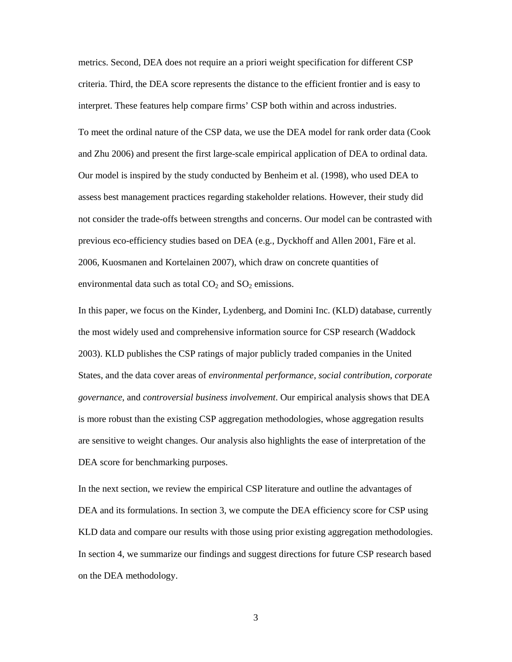metrics. Second, DEA does not require an a priori weight specification for different CSP criteria. Third, the DEA score represents the distance to the efficient frontier and is easy to interpret. These features help compare firms' CSP both within and across industries.

To meet the ordinal nature of the CSP data, we use the DEA model for rank order data (Cook and Zhu 2006) and present the first large-scale empirical application of DEA to ordinal data. Our model is inspired by the study conducted by Benheim et al. (1998), who used DEA to assess best management practices regarding stakeholder relations. However, their study did not consider the trade-offs between strengths and concerns. Our model can be contrasted with previous eco-efficiency studies based on DEA (e.g., Dyckhoff and Allen 2001, Färe et al. 2006, Kuosmanen and Kortelainen 2007), which draw on concrete quantities of environmental data such as total  $CO<sub>2</sub>$  and  $SO<sub>2</sub>$  emissions.

In this paper, we focus on the Kinder, Lydenberg, and Domini Inc. (KLD) database, currently the most widely used and comprehensive information source for CSP research (Waddock 2003). KLD publishes the CSP ratings of major publicly traded companies in the United States, and the data cover areas of *environmental performance*, *social contribution*, *corporate governance*, and *controversial business involvement*. Our empirical analysis shows that DEA is more robust than the existing CSP aggregation methodologies, whose aggregation results are sensitive to weight changes. Our analysis also highlights the ease of interpretation of the DEA score for benchmarking purposes.

In the next section, we review the empirical CSP literature and outline the advantages of DEA and its formulations. In section 3, we compute the DEA efficiency score for CSP using KLD data and compare our results with those using prior existing aggregation methodologies. In section 4, we summarize our findings and suggest directions for future CSP research based on the DEA methodology.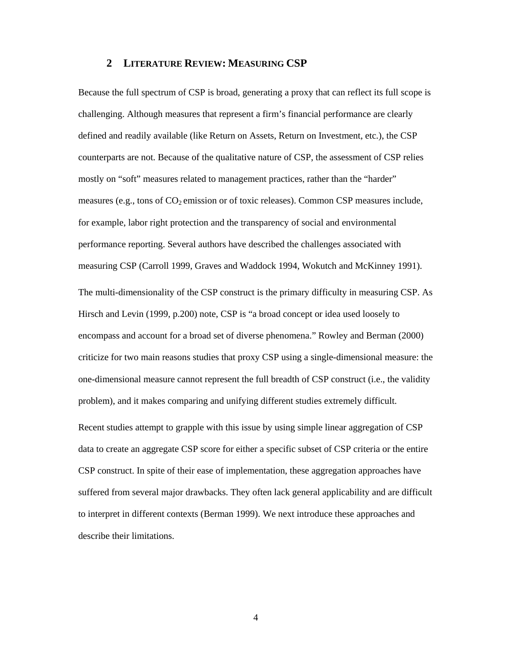### **2 LITERATURE REVIEW: MEASURING CSP**

Because the full spectrum of CSP is broad, generating a proxy that can reflect its full scope is challenging. Although measures that represent a firm's financial performance are clearly defined and readily available (like Return on Assets, Return on Investment, etc.), the CSP counterparts are not. Because of the qualitative nature of CSP, the assessment of CSP relies mostly on "soft" measures related to management practices, rather than the "harder" measures (e.g., tons of  $CO<sub>2</sub>$  emission or of toxic releases). Common CSP measures include, for example, labor right protection and the transparency of social and environmental performance reporting. Several authors have described the challenges associated with measuring CSP (Carroll 1999, Graves and Waddock 1994, Wokutch and McKinney 1991). The multi-dimensionality of the CSP construct is the primary difficulty in measuring CSP. As Hirsch and Levin (1999, p.200) note, CSP is "a broad concept or idea used loosely to encompass and account for a broad set of diverse phenomena." Rowley and Berman (2000) criticize for two main reasons studies that proxy CSP using a single-dimensional measure: the one-dimensional measure cannot represent the full breadth of CSP construct (i.e., the validity problem), and it makes comparing and unifying different studies extremely difficult.

Recent studies attempt to grapple with this issue by using simple linear aggregation of CSP data to create an aggregate CSP score for either a specific subset of CSP criteria or the entire CSP construct. In spite of their ease of implementation, these aggregation approaches have suffered from several major drawbacks. They often lack general applicability and are difficult to interpret in different contexts (Berman 1999). We next introduce these approaches and describe their limitations.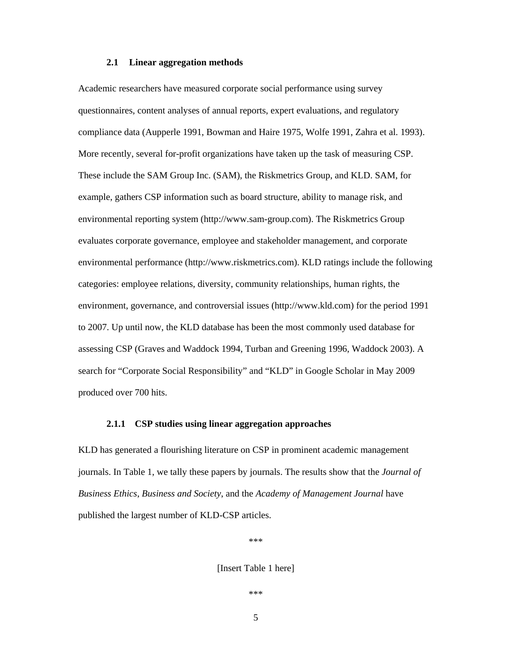#### **2.1 Linear aggregation methods**

Academic researchers have measured corporate social performance using survey questionnaires, content analyses of annual reports, expert evaluations, and regulatory compliance data (Aupperle 1991, Bowman and Haire 1975, Wolfe 1991, Zahra et al. 1993). More recently, several for-profit organizations have taken up the task of measuring CSP. These include the SAM Group Inc. (SAM), the Riskmetrics Group, and KLD. SAM, for example, gathers CSP information such as board structure, ability to manage risk, and environmental reporting system (http://www.sam-group.com). The Riskmetrics Group evaluates corporate governance, employee and stakeholder management, and corporate environmental performance (http://www.riskmetrics.com). KLD ratings include the following categories: employee relations, diversity, community relationships, human rights, the environment, governance, and controversial issues (http://www.kld.com) for the period 1991 to 2007. Up until now, the KLD database has been the most commonly used database for assessing CSP (Graves and Waddock 1994, Turban and Greening 1996, Waddock 2003). A search for "Corporate Social Responsibility" and "KLD" in Google Scholar in May 2009 produced over 700 hits.

#### **2.1.1 CSP studies using linear aggregation approaches**

KLD has generated a flourishing literature on CSP in prominent academic management journals. In Table 1, we tally these papers by journals. The results show that the *Journal of Business Ethics*, *Business and Society*, and the *Academy of Management Journal* have published the largest number of KLD-CSP articles.

\*\*\*

[Insert Table 1 here]

\*\*\*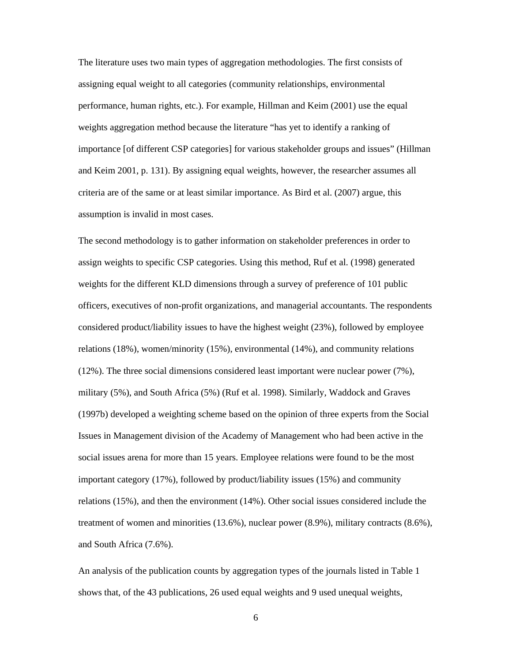The literature uses two main types of aggregation methodologies. The first consists of assigning equal weight to all categories (community relationships, environmental performance, human rights, etc.). For example, Hillman and Keim (2001) use the equal weights aggregation method because the literature "has yet to identify a ranking of importance [of different CSP categories] for various stakeholder groups and issues" (Hillman and Keim 2001, p. 131). By assigning equal weights, however, the researcher assumes all criteria are of the same or at least similar importance. As Bird et al. (2007) argue, this assumption is invalid in most cases.

The second methodology is to gather information on stakeholder preferences in order to assign weights to specific CSP categories. Using this method, Ruf et al. (1998) generated weights for the different KLD dimensions through a survey of preference of 101 public officers, executives of non-profit organizations, and managerial accountants. The respondents considered product/liability issues to have the highest weight (23%), followed by employee relations (18%), women/minority (15%), environmental (14%), and community relations (12%). The three social dimensions considered least important were nuclear power (7%), military (5%), and South Africa (5%) (Ruf et al. 1998). Similarly, Waddock and Graves (1997b) developed a weighting scheme based on the opinion of three experts from the Social Issues in Management division of the Academy of Management who had been active in the social issues arena for more than 15 years. Employee relations were found to be the most important category (17%), followed by product/liability issues (15%) and community relations (15%), and then the environment (14%). Other social issues considered include the treatment of women and minorities (13.6%), nuclear power (8.9%), military contracts (8.6%), and South Africa (7.6%).

An analysis of the publication counts by aggregation types of the journals listed in Table 1 shows that, of the 43 publications, 26 used equal weights and 9 used unequal weights,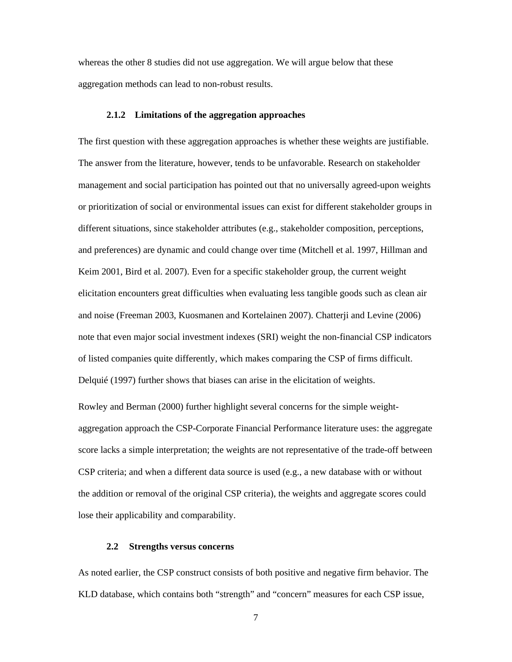whereas the other 8 studies did not use aggregation. We will argue below that these aggregation methods can lead to non-robust results.

### **2.1.2 Limitations of the aggregation approaches**

The first question with these aggregation approaches is whether these weights are justifiable. The answer from the literature, however, tends to be unfavorable. Research on stakeholder management and social participation has pointed out that no universally agreed-upon weights or prioritization of social or environmental issues can exist for different stakeholder groups in different situations, since stakeholder attributes (e.g., stakeholder composition, perceptions, and preferences) are dynamic and could change over time (Mitchell et al. 1997, Hillman and Keim 2001, Bird et al. 2007). Even for a specific stakeholder group, the current weight elicitation encounters great difficulties when evaluating less tangible goods such as clean air and noise (Freeman 2003, Kuosmanen and Kortelainen 2007). Chatterji and Levine (2006) note that even major social investment indexes (SRI) weight the non-financial CSP indicators of listed companies quite differently, which makes comparing the CSP of firms difficult. Delquié (1997) further shows that biases can arise in the elicitation of weights.

Rowley and Berman (2000) further highlight several concerns for the simple weightaggregation approach the CSP-Corporate Financial Performance literature uses: the aggregate score lacks a simple interpretation; the weights are not representative of the trade-off between CSP criteria; and when a different data source is used (e.g., a new database with or without the addition or removal of the original CSP criteria), the weights and aggregate scores could lose their applicability and comparability.

#### **2.2 Strengths versus concerns**

As noted earlier, the CSP construct consists of both positive and negative firm behavior. The KLD database, which contains both "strength" and "concern" measures for each CSP issue,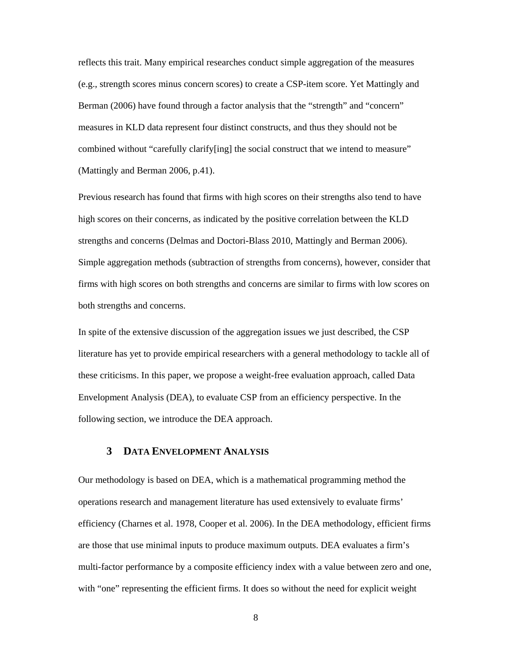reflects this trait. Many empirical researches conduct simple aggregation of the measures (e.g., strength scores minus concern scores) to create a CSP-item score. Yet Mattingly and Berman (2006) have found through a factor analysis that the "strength" and "concern" measures in KLD data represent four distinct constructs, and thus they should not be combined without "carefully clarify[ing] the social construct that we intend to measure" (Mattingly and Berman 2006, p.41).

Previous research has found that firms with high scores on their strengths also tend to have high scores on their concerns, as indicated by the positive correlation between the KLD strengths and concerns (Delmas and Doctori-Blass 2010, Mattingly and Berman 2006). Simple aggregation methods (subtraction of strengths from concerns), however, consider that firms with high scores on both strengths and concerns are similar to firms with low scores on both strengths and concerns.

In spite of the extensive discussion of the aggregation issues we just described, the CSP literature has yet to provide empirical researchers with a general methodology to tackle all of these criticisms. In this paper, we propose a weight-free evaluation approach, called Data Envelopment Analysis (DEA), to evaluate CSP from an efficiency perspective. In the following section, we introduce the DEA approach.

### **3 DATA ENVELOPMENT ANALYSIS**

Our methodology is based on DEA, which is a mathematical programming method the operations research and management literature has used extensively to evaluate firms' efficiency (Charnes et al. 1978, Cooper et al. 2006). In the DEA methodology, efficient firms are those that use minimal inputs to produce maximum outputs. DEA evaluates a firm's multi-factor performance by a composite efficiency index with a value between zero and one, with "one" representing the efficient firms. It does so without the need for explicit weight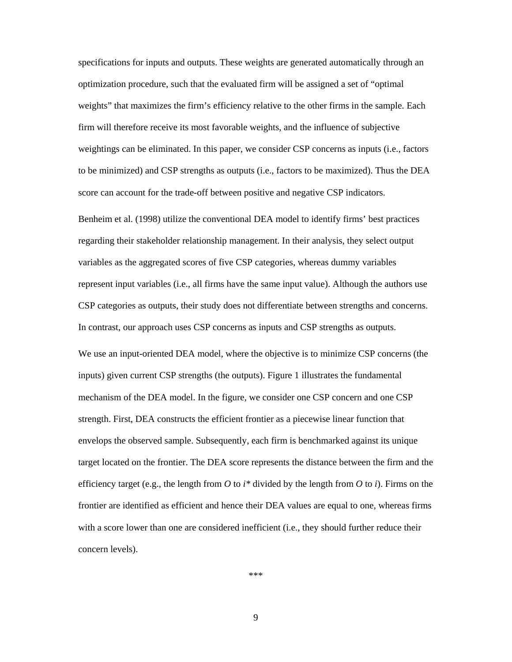specifications for inputs and outputs. These weights are generated automatically through an optimization procedure, such that the evaluated firm will be assigned a set of "optimal weights" that maximizes the firm's efficiency relative to the other firms in the sample. Each firm will therefore receive its most favorable weights, and the influence of subjective weightings can be eliminated. In this paper, we consider CSP concerns as inputs (i.e., factors to be minimized) and CSP strengths as outputs (i.e., factors to be maximized). Thus the DEA score can account for the trade-off between positive and negative CSP indicators.

Benheim et al. (1998) utilize the conventional DEA model to identify firms' best practices regarding their stakeholder relationship management. In their analysis, they select output variables as the aggregated scores of five CSP categories, whereas dummy variables represent input variables (i.e., all firms have the same input value). Although the authors use CSP categories as outputs, their study does not differentiate between strengths and concerns. In contrast, our approach uses CSP concerns as inputs and CSP strengths as outputs.

We use an input-oriented DEA model, where the objective is to minimize CSP concerns (the inputs) given current CSP strengths (the outputs). Figure 1 illustrates the fundamental mechanism of the DEA model. In the figure, we consider one CSP concern and one CSP strength. First, DEA constructs the efficient frontier as a piecewise linear function that envelops the observed sample. Subsequently, each firm is benchmarked against its unique target located on the frontier. The DEA score represents the distance between the firm and the efficiency target (e.g., the length from  $O$  to  $i^*$  divided by the length from  $O$  to  $i$ ). Firms on the frontier are identified as efficient and hence their DEA values are equal to one, whereas firms with a score lower than one are considered inefficient (i.e., they should further reduce their concern levels).

\*\*\*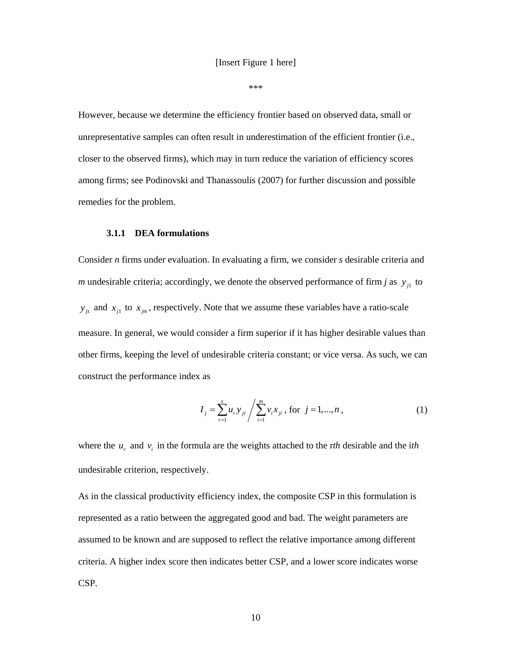\*\*\*

However, because we determine the efficiency frontier based on observed data, small or unrepresentative samples can often result in underestimation of the efficient frontier (i.e., closer to the observed firms), which may in turn reduce the variation of efficiency scores among firms; see Podinovski and Thanassoulis (2007) for further discussion and possible remedies for the problem.

#### **3.1.1 DEA formulations**

Consider *n* firms under evaluation. In evaluating a firm, we consider *s* desirable criteria and *m* undesirable criteria; accordingly, we denote the observed performance of firm *j* as  $y_{i}$  to  $y_{j_s}$  and  $x_{j_1}$  to  $x_{j_m}$ , respectively. Note that we assume these variables have a ratio-scale measure. In general, we would consider a firm superior if it has higher desirable values than other firms, keeping the level of undesirable criteria constant; or vice versa. As such, we can construct the performance index as

$$
I_{j} = \sum_{r=1}^{s} u_{r} y_{jr} / \sum_{i=1}^{m} v_{i} x_{ji}, \text{ for } j = 1, ..., n,
$$
 (1)

where the  $u_r$  and  $v_i$  in the formula are the weights attached to the *rth* desirable and the *ith* undesirable criterion, respectively.

As in the classical productivity efficiency index, the composite CSP in this formulation is represented as a ratio between the aggregated good and bad. The weight parameters are assumed to be known and are supposed to reflect the relative importance among different criteria. A higher index score then indicates better CSP, and a lower score indicates worse CSP.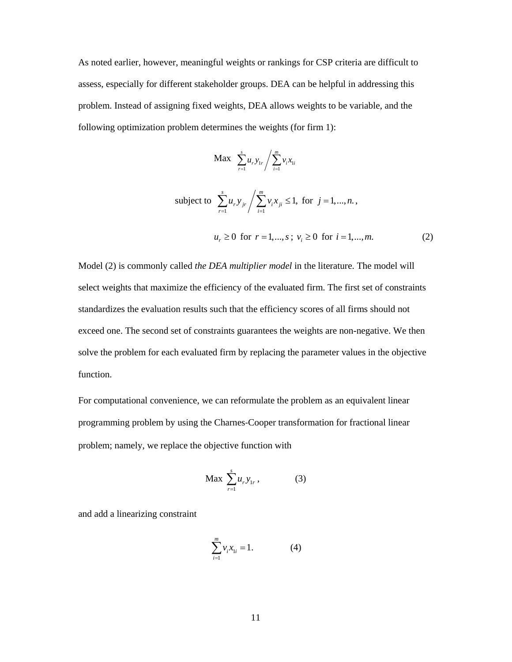As noted earlier, however, meaningful weights or rankings for CSP criteria are difficult to assess, especially for different stakeholder groups. DEA can be helpful in addressing this problem. Instead of assigning fixed weights, DEA allows weights to be variable, and the following optimization problem determines the weights (for firm 1):

$$
\text{Max} \ \sum_{r=1}^{s} u_r y_{1r} / \sum_{i=1}^{m} v_i x_{1i}
$$
\n
$$
\text{subject to} \ \sum_{r=1}^{s} u_r y_{jr} / \sum_{i=1}^{m} v_i x_{ji} \le 1, \text{ for } j = 1, \dots, n, \quad u_r \ge 0 \text{ for } r = 1, \dots, s \text{; } v_i \ge 0 \text{ for } i = 1, \dots, m. \tag{2}
$$

Model (2) is commonly called *the DEA multiplier model* in the literature. The model will select weights that maximize the efficiency of the evaluated firm. The first set of constraints standardizes the evaluation results such that the efficiency scores of all firms should not exceed one. The second set of constraints guarantees the weights are non-negative. We then solve the problem for each evaluated firm by replacing the parameter values in the objective function.

For computational convenience, we can reformulate the problem as an equivalent linear programming problem by using the Charnes‐Cooper transformation for fractional linear problem; namely, we replace the objective function with

$$
\text{Max } \sum_{r=1}^{s} u_r y_{1r}, \qquad (3)
$$

and add a linearizing constraint

$$
\sum_{i=1}^{m} v_i x_{1i} = 1.
$$
 (4)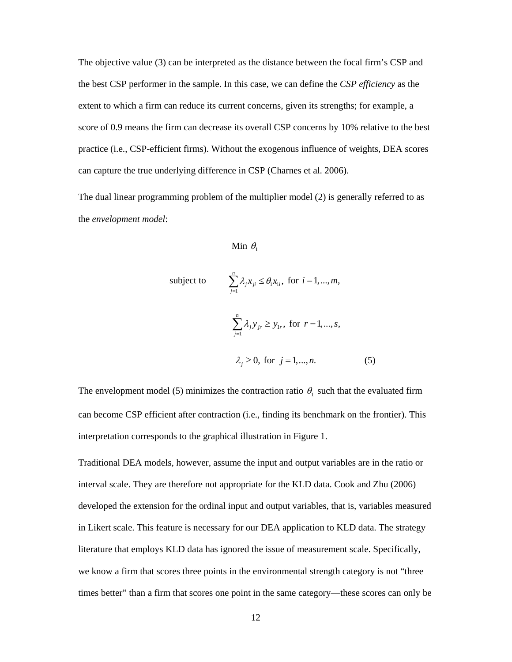The objective value (3) can be interpreted as the distance between the focal firm's CSP and the best CSP performer in the sample. In this case, we can define the *CSP efficiency* as the extent to which a firm can reduce its current concerns, given its strengths; for example, a score of 0.9 means the firm can decrease its overall CSP concerns by 10% relative to the best practice (i.e., CSP-efficient firms). Without the exogenous influence of weights, DEA scores can capture the true underlying difference in CSP (Charnes et al. 2006).

The dual linear programming problem of the multiplier model (2) is generally referred to as the *envelopment model*:

```
Min \theta_1
```
subject to 
$$
\sum_{j=1}^{n} \lambda_j x_{ji} \leq \theta_1 x_{1i}, \text{ for } i = 1,...,m,
$$

$$
\sum_{j=1}^{n} \lambda_j y_{jr} \geq y_{1r}, \text{ for } r = 1,...,s,
$$

$$
\lambda_j \geq 0, \text{ for } j = 1,...,n.
$$

$$
(5)
$$

The envelopment model (5) minimizes the contraction ratio  $\theta_1$  such that the evaluated firm can become CSP efficient after contraction (i.e., finding its benchmark on the frontier). This interpretation corresponds to the graphical illustration in Figure 1.

Traditional DEA models, however, assume the input and output variables are in the ratio or interval scale. They are therefore not appropriate for the KLD data. Cook and Zhu (2006) developed the extension for the ordinal input and output variables, that is, variables measured in Likert scale. This feature is necessary for our DEA application to KLD data. The strategy literature that employs KLD data has ignored the issue of measurement scale. Specifically, we know a firm that scores three points in the environmental strength category is not "three times better" than a firm that scores one point in the same category—these scores can only be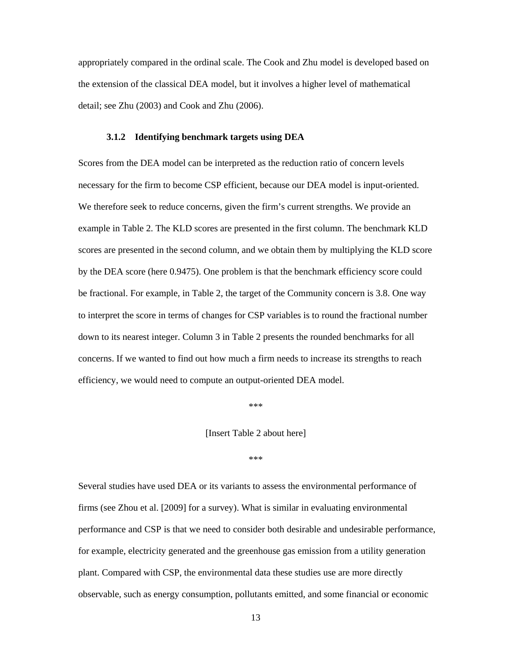appropriately compared in the ordinal scale. The Cook and Zhu model is developed based on the extension of the classical DEA model, but it involves a higher level of mathematical detail; see Zhu (2003) and Cook and Zhu (2006).

### **3.1.2 Identifying benchmark targets using DEA**

Scores from the DEA model can be interpreted as the reduction ratio of concern levels necessary for the firm to become CSP efficient, because our DEA model is input-oriented. We therefore seek to reduce concerns, given the firm's current strengths. We provide an example in Table 2. The KLD scores are presented in the first column. The benchmark KLD scores are presented in the second column, and we obtain them by multiplying the KLD score by the DEA score (here 0.9475). One problem is that the benchmark efficiency score could be fractional. For example, in Table 2, the target of the Community concern is 3.8. One way to interpret the score in terms of changes for CSP variables is to round the fractional number down to its nearest integer. Column 3 in Table 2 presents the rounded benchmarks for all concerns. If we wanted to find out how much a firm needs to increase its strengths to reach efficiency, we would need to compute an output-oriented DEA model.

\*\*\*

[Insert Table 2 about here]

\*\*\*

Several studies have used DEA or its variants to assess the environmental performance of firms (see Zhou et al. [2009] for a survey). What is similar in evaluating environmental performance and CSP is that we need to consider both desirable and undesirable performance, for example, electricity generated and the greenhouse gas emission from a utility generation plant. Compared with CSP, the environmental data these studies use are more directly observable, such as energy consumption, pollutants emitted, and some financial or economic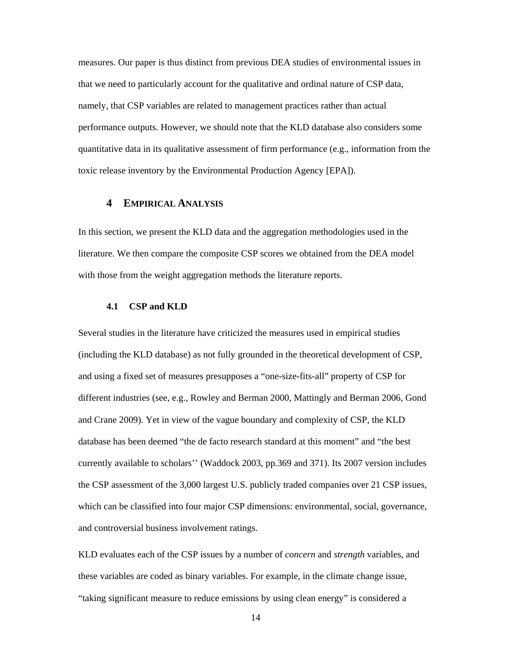measures. Our paper is thus distinct from previous DEA studies of environmental issues in that we need to particularly account for the qualitative and ordinal nature of CSP data, namely, that CSP variables are related to management practices rather than actual performance outputs. However, we should note that the KLD database also considers some quantitative data in its qualitative assessment of firm performance (e.g., information from the toxic release inventory by the Environmental Production Agency [EPA]).

### **4 EMPIRICAL ANALYSIS**

In this section, we present the KLD data and the aggregation methodologies used in the literature. We then compare the composite CSP scores we obtained from the DEA model with those from the weight aggregation methods the literature reports.

#### **4.1 CSP and KLD**

Several studies in the literature have criticized the measures used in empirical studies (including the KLD database) as not fully grounded in the theoretical development of CSP, and using a fixed set of measures presupposes a "one-size-fits-all" property of CSP for different industries (see, e.g., Rowley and Berman 2000, Mattingly and Berman 2006, Gond and Crane 2009). Yet in view of the vague boundary and complexity of CSP, the KLD database has been deemed "the de facto research standard at this moment" and "the best currently available to scholars'' (Waddock 2003, pp.369 and 371). Its 2007 version includes the CSP assessment of the 3,000 largest U.S. publicly traded companies over 21 CSP issues, which can be classified into four major CSP dimensions: environmental, social, governance, and controversial business involvement ratings.

KLD evaluates each of the CSP issues by a number of *concern* and *strength* variables, and these variables are coded as binary variables. For example, in the climate change issue, "taking significant measure to reduce emissions by using clean energy" is considered a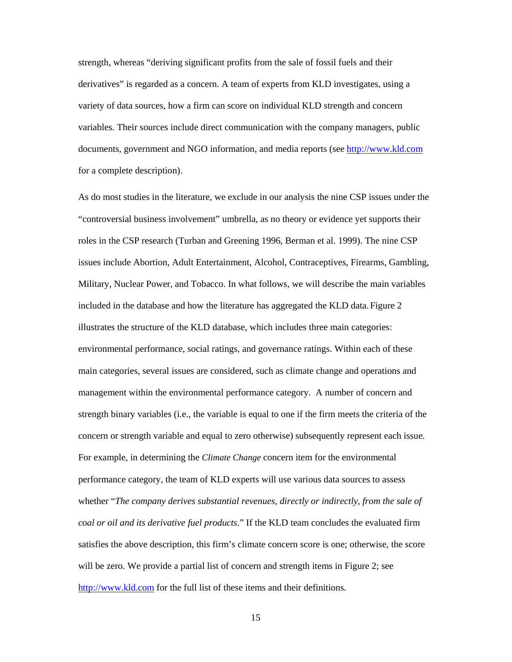strength, whereas "deriving significant profits from the sale of fossil fuels and their derivatives" is regarded as a concern. A team of experts from KLD investigates, using a variety of data sources, how a firm can score on individual KLD strength and concern variables. Their sources include direct communication with the company managers, public documents, government and NGO information, and media reports (see http://www.kld.com for a complete description).

As do most studies in the literature, we exclude in our analysis the nine CSP issues under the "controversial business involvement" umbrella, as no theory or evidence yet supports their roles in the CSP research (Turban and Greening 1996, Berman et al. 1999). The nine CSP issues include Abortion, Adult Entertainment, Alcohol, Contraceptives, Firearms, Gambling, Military, Nuclear Power, and Tobacco. In what follows, we will describe the main variables included in the database and how the literature has aggregated the KLD data. Figure 2 illustrates the structure of the KLD database, which includes three main categories: environmental performance, social ratings, and governance ratings. Within each of these main categories, several issues are considered, such as climate change and operations and management within the environmental performance category. A number of concern and strength binary variables (i.e., the variable is equal to one if the firm meets the criteria of the concern or strength variable and equal to zero otherwise) subsequently represent each issue. For example, in determining the *Climate Change* concern item for the environmental performance category, the team of KLD experts will use various data sources to assess whether "*The company derives substantial revenues, directly or indirectly, from the sale of coal or oil and its derivative fuel products*." If the KLD team concludes the evaluated firm satisfies the above description, this firm's climate concern score is one; otherwise, the score will be zero. We provide a partial list of concern and strength items in Figure 2; see http://www.kld.com for the full list of these items and their definitions.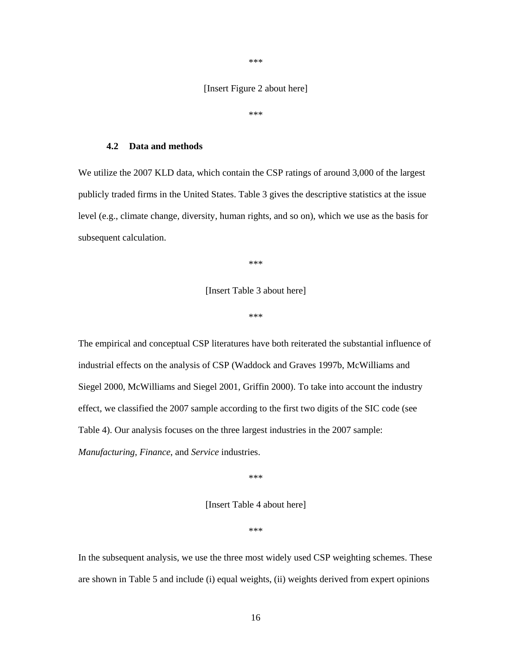\*\*\*

### [Insert Figure 2 about here]

\*\*\*

### **4.2 Data and methods**

We utilize the 2007 KLD data, which contain the CSP ratings of around 3,000 of the largest publicly traded firms in the United States. Table 3 gives the descriptive statistics at the issue level (e.g., climate change, diversity, human rights, and so on), which we use as the basis for subsequent calculation.

\*\*\*

[Insert Table 3 about here]

\*\*\*

The empirical and conceptual CSP literatures have both reiterated the substantial influence of industrial effects on the analysis of CSP (Waddock and Graves 1997b, McWilliams and Siegel 2000, McWilliams and Siegel 2001, Griffin 2000). To take into account the industry effect, we classified the 2007 sample according to the first two digits of the SIC code (see Table 4). Our analysis focuses on the three largest industries in the 2007 sample: *Manufacturing*, *Finance*, and *Service* industries.

\*\*\*

[Insert Table 4 about here]

\*\*\*

In the subsequent analysis, we use the three most widely used CSP weighting schemes. These are shown in Table 5 and include (i) equal weights, (ii) weights derived from expert opinions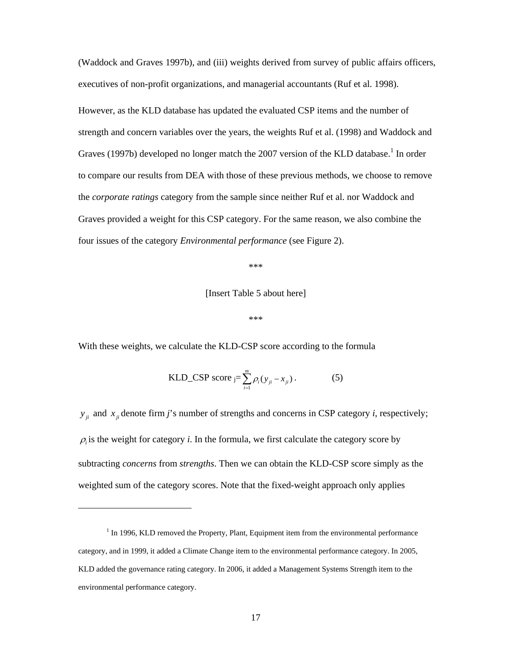(Waddock and Graves 1997b), and (iii) weights derived from survey of public affairs officers, executives of non-profit organizations, and managerial accountants (Ruf et al. 1998).

However, as the KLD database has updated the evaluated CSP items and the number of strength and concern variables over the years, the weights Ruf et al. (1998) and Waddock and Graves (1997b) developed no longer match the 2007 version of the KLD database.<sup>1</sup> In order to compare our results from DEA with those of these previous methods, we choose to remove the *corporate ratings* category from the sample since neither Ruf et al. nor Waddock and Graves provided a weight for this CSP category. For the same reason, we also combine the four issues of the category *Environmental performance* (see Figure 2).

\*\*\*

[Insert Table 5 about here]

\*\*\*

With these weights, we calculate the KLD-CSP score according to the formula

KLD\_CSP score 
$$
_{j} = \sum_{i=1}^{m} \rho_i (y_{ji} - x_{ji}).
$$
 (5)

 $y_{ii}$  and  $x_{ii}$  denote firm *j*'s number of strengths and concerns in CSP category *i*, respectively;  $\rho_i$  is the weight for category *i*. In the formula, we first calculate the category score by subtracting *concerns* from *strengths*. Then we can obtain the KLD-CSP score simply as the weighted sum of the category scores. Note that the fixed-weight approach only applies

 $\overline{a}$ 

 $<sup>1</sup>$  In 1996, KLD removed the Property, Plant, Equipment item from the environmental performance</sup> category, and in 1999, it added a Climate Change item to the environmental performance category. In 2005, KLD added the governance rating category. In 2006, it added a Management Systems Strength item to the environmental performance category.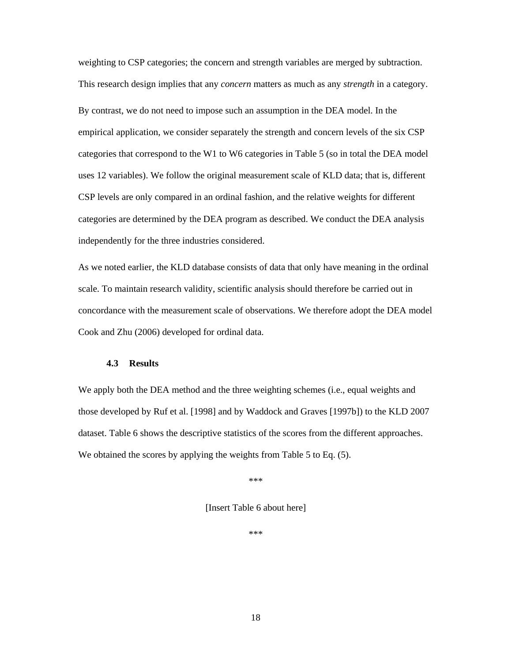weighting to CSP categories; the concern and strength variables are merged by subtraction. This research design implies that any *concern* matters as much as any *strength* in a category. By contrast, we do not need to impose such an assumption in the DEA model. In the empirical application, we consider separately the strength and concern levels of the six CSP categories that correspond to the W1 to W6 categories in Table 5 (so in total the DEA model uses 12 variables). We follow the original measurement scale of KLD data; that is, different CSP levels are only compared in an ordinal fashion, and the relative weights for different categories are determined by the DEA program as described. We conduct the DEA analysis independently for the three industries considered.

As we noted earlier, the KLD database consists of data that only have meaning in the ordinal scale. To maintain research validity, scientific analysis should therefore be carried out in concordance with the measurement scale of observations. We therefore adopt the DEA model Cook and Zhu (2006) developed for ordinal data.

### **4.3 Results**

We apply both the DEA method and the three weighting schemes (i.e., equal weights and those developed by Ruf et al. [1998] and by Waddock and Graves [1997b]) to the KLD 2007 dataset. Table 6 shows the descriptive statistics of the scores from the different approaches. We obtained the scores by applying the weights from Table 5 to Eq.  $(5)$ .

\*\*\*

[Insert Table 6 about here]

\*\*\*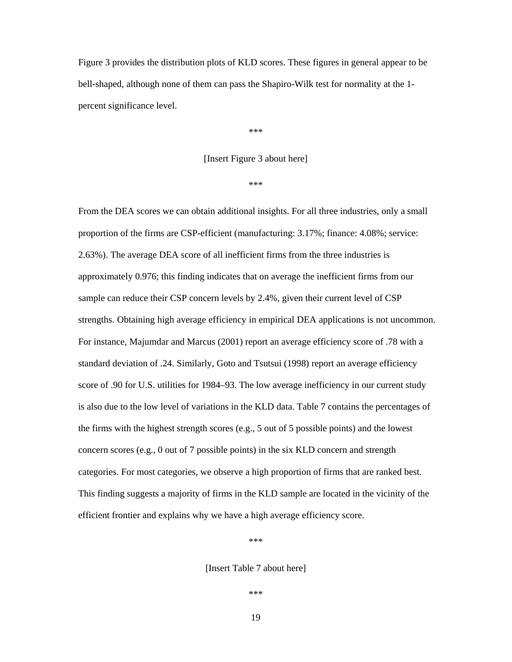Figure 3 provides the distribution plots of KLD scores. These figures in general appear to be bell-shaped, although none of them can pass the Shapiro-Wilk test for normality at the 1 percent significance level.

\*\*\*

### [Insert Figure 3 about here]

\*\*\*

From the DEA scores we can obtain additional insights. For all three industries, only a small proportion of the firms are CSP-efficient (manufacturing: 3.17%; finance: 4.08%; service: 2.63%). The average DEA score of all inefficient firms from the three industries is approximately 0.976; this finding indicates that on average the inefficient firms from our sample can reduce their CSP concern levels by 2.4%, given their current level of CSP strengths. Obtaining high average efficiency in empirical DEA applications is not uncommon. For instance, Majumdar and Marcus (2001) report an average efficiency score of .78 with a standard deviation of .24. Similarly, Goto and Tsutsui (1998) report an average efficiency score of .90 for U.S. utilities for 1984–93. The low average inefficiency in our current study is also due to the low level of variations in the KLD data. Table 7 contains the percentages of the firms with the highest strength scores (e.g., 5 out of 5 possible points) and the lowest concern scores (e.g., 0 out of 7 possible points) in the six KLD concern and strength categories. For most categories, we observe a high proportion of firms that are ranked best. This finding suggests a majority of firms in the KLD sample are located in the vicinity of the efficient frontier and explains why we have a high average efficiency score.

\*\*\*

[Insert Table 7 about here]

\*\*\*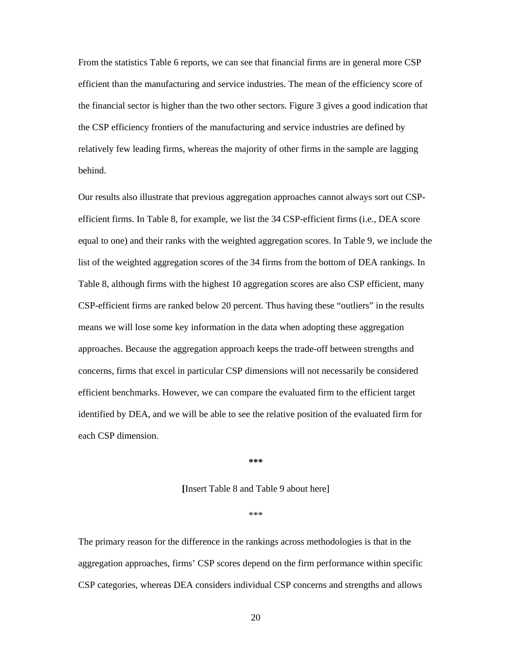From the statistics Table 6 reports, we can see that financial firms are in general more CSP efficient than the manufacturing and service industries. The mean of the efficiency score of the financial sector is higher than the two other sectors. Figure 3 gives a good indication that the CSP efficiency frontiers of the manufacturing and service industries are defined by relatively few leading firms, whereas the majority of other firms in the sample are lagging behind.

Our results also illustrate that previous aggregation approaches cannot always sort out CSPefficient firms. In Table 8, for example, we list the 34 CSP-efficient firms (i.e., DEA score equal to one) and their ranks with the weighted aggregation scores. In Table 9, we include the list of the weighted aggregation scores of the 34 firms from the bottom of DEA rankings. In Table 8, although firms with the highest 10 aggregation scores are also CSP efficient, many CSP-efficient firms are ranked below 20 percent. Thus having these "outliers" in the results means we will lose some key information in the data when adopting these aggregation approaches. Because the aggregation approach keeps the trade-off between strengths and concerns, firms that excel in particular CSP dimensions will not necessarily be considered efficient benchmarks. However, we can compare the evaluated firm to the efficient target identified by DEA, and we will be able to see the relative position of the evaluated firm for each CSP dimension.

**\*\*\*** 

#### **[**Insert Table 8 and Table 9 about here]

#### \*\*\*

The primary reason for the difference in the rankings across methodologies is that in the aggregation approaches, firms' CSP scores depend on the firm performance within specific CSP categories, whereas DEA considers individual CSP concerns and strengths and allows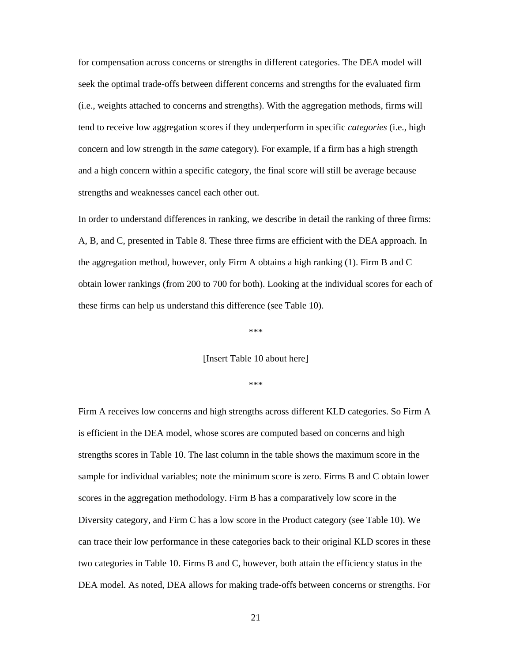for compensation across concerns or strengths in different categories. The DEA model will seek the optimal trade-offs between different concerns and strengths for the evaluated firm (i.e., weights attached to concerns and strengths). With the aggregation methods, firms will tend to receive low aggregation scores if they underperform in specific *categories* (i.e., high concern and low strength in the *same* category). For example, if a firm has a high strength and a high concern within a specific category, the final score will still be average because strengths and weaknesses cancel each other out.

In order to understand differences in ranking, we describe in detail the ranking of three firms: A, B, and C, presented in Table 8. These three firms are efficient with the DEA approach. In the aggregation method, however, only Firm A obtains a high ranking (1). Firm B and C obtain lower rankings (from 200 to 700 for both). Looking at the individual scores for each of these firms can help us understand this difference (see Table 10).

#### \*\*\*

#### [Insert Table 10 about here]

#### \*\*\*

Firm A receives low concerns and high strengths across different KLD categories. So Firm A is efficient in the DEA model, whose scores are computed based on concerns and high strengths scores in Table 10. The last column in the table shows the maximum score in the sample for individual variables; note the minimum score is zero. Firms B and C obtain lower scores in the aggregation methodology. Firm B has a comparatively low score in the Diversity category, and Firm C has a low score in the Product category (see Table 10). We can trace their low performance in these categories back to their original KLD scores in these two categories in Table 10. Firms B and C, however, both attain the efficiency status in the DEA model. As noted, DEA allows for making trade-offs between concerns or strengths. For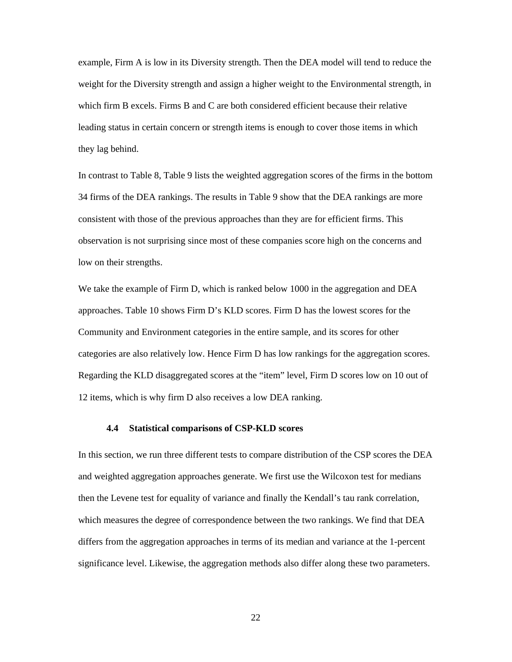example, Firm A is low in its Diversity strength. Then the DEA model will tend to reduce the weight for the Diversity strength and assign a higher weight to the Environmental strength, in which firm B excels. Firms B and C are both considered efficient because their relative leading status in certain concern or strength items is enough to cover those items in which they lag behind.

In contrast to Table 8, Table 9 lists the weighted aggregation scores of the firms in the bottom 34 firms of the DEA rankings. The results in Table 9 show that the DEA rankings are more consistent with those of the previous approaches than they are for efficient firms. This observation is not surprising since most of these companies score high on the concerns and low on their strengths.

We take the example of Firm D, which is ranked below 1000 in the aggregation and DEA approaches. Table 10 shows Firm D's KLD scores. Firm D has the lowest scores for the Community and Environment categories in the entire sample, and its scores for other categories are also relatively low. Hence Firm D has low rankings for the aggregation scores. Regarding the KLD disaggregated scores at the "item" level, Firm D scores low on 10 out of 12 items, which is why firm D also receives a low DEA ranking.

#### **4.4 Statistical comparisons of CSP-KLD scores**

In this section, we run three different tests to compare distribution of the CSP scores the DEA and weighted aggregation approaches generate. We first use the Wilcoxon test for medians then the Levene test for equality of variance and finally the Kendall's tau rank correlation, which measures the degree of correspondence between the two rankings. We find that DEA differs from the aggregation approaches in terms of its median and variance at the 1-percent significance level. Likewise, the aggregation methods also differ along these two parameters.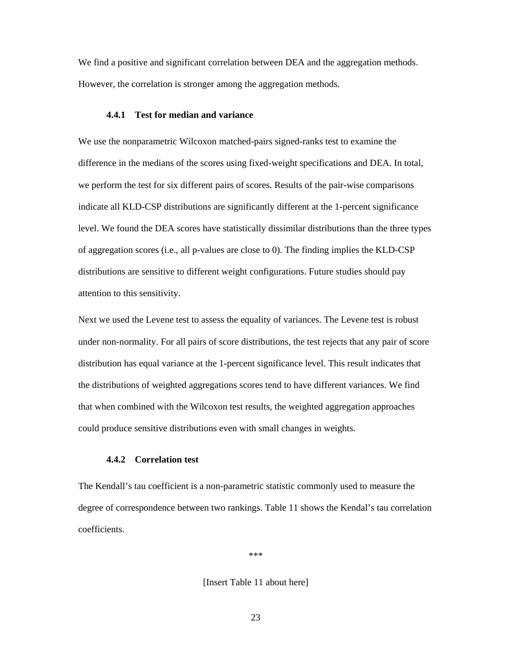We find a positive and significant correlation between DEA and the aggregation methods. However, the correlation is stronger among the aggregation methods.

### **4.4.1 Test for median and variance**

We use the nonparametric Wilcoxon matched-pairs signed-ranks test to examine the difference in the medians of the scores using fixed-weight specifications and DEA. In total, we perform the test for six different pairs of scores. Results of the pair-wise comparisons indicate all KLD-CSP distributions are significantly different at the 1-percent significance level. We found the DEA scores have statistically dissimilar distributions than the three types of aggregation scores (i.e., all p-values are close to 0). The finding implies the KLD-CSP distributions are sensitive to different weight configurations. Future studies should pay attention to this sensitivity.

Next we used the Levene test to assess the equality of variances. The Levene test is robust under non-normality. For all pairs of score distributions, the test rejects that any pair of score distribution has equal variance at the 1-percent significance level. This result indicates that the distributions of weighted aggregations scores tend to have different variances. We find that when combined with the Wilcoxon test results, the weighted aggregation approaches could produce sensitive distributions even with small changes in weights.

### **4.4.2 Correlation test**

The Kendall's tau coefficient is a non-parametric statistic commonly used to measure the degree of correspondence between two rankings. Table 11 shows the Kendal's tau correlation coefficients.

\*\*\*

[Insert Table 11 about here]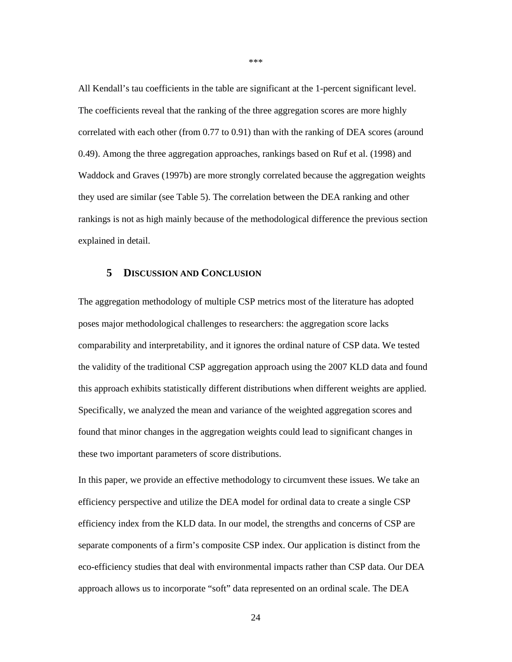All Kendall's tau coefficients in the table are significant at the 1-percent significant level. The coefficients reveal that the ranking of the three aggregation scores are more highly correlated with each other (from 0.77 to 0.91) than with the ranking of DEA scores (around 0.49). Among the three aggregation approaches, rankings based on Ruf et al. (1998) and Waddock and Graves (1997b) are more strongly correlated because the aggregation weights they used are similar (see Table 5). The correlation between the DEA ranking and other rankings is not as high mainly because of the methodological difference the previous section explained in detail.

### **5 DISCUSSION AND CONCLUSION**

The aggregation methodology of multiple CSP metrics most of the literature has adopted poses major methodological challenges to researchers: the aggregation score lacks comparability and interpretability, and it ignores the ordinal nature of CSP data. We tested the validity of the traditional CSP aggregation approach using the 2007 KLD data and found this approach exhibits statistically different distributions when different weights are applied. Specifically, we analyzed the mean and variance of the weighted aggregation scores and found that minor changes in the aggregation weights could lead to significant changes in these two important parameters of score distributions.

In this paper, we provide an effective methodology to circumvent these issues. We take an efficiency perspective and utilize the DEA model for ordinal data to create a single CSP efficiency index from the KLD data. In our model, the strengths and concerns of CSP are separate components of a firm's composite CSP index. Our application is distinct from the eco-efficiency studies that deal with environmental impacts rather than CSP data. Our DEA approach allows us to incorporate "soft" data represented on an ordinal scale. The DEA

\*\*\*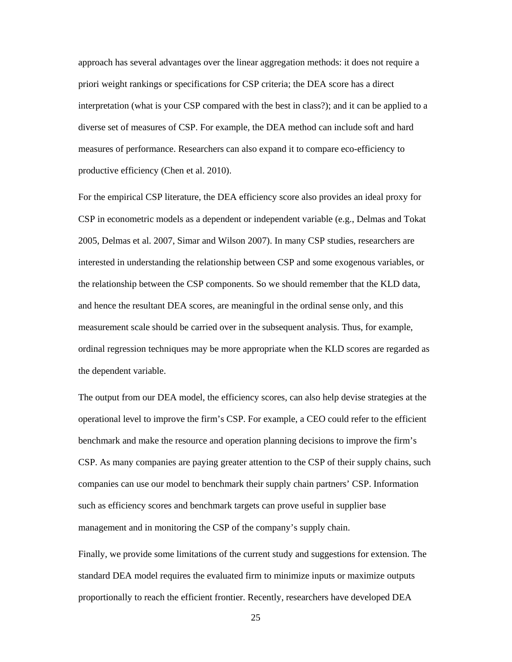approach has several advantages over the linear aggregation methods: it does not require a priori weight rankings or specifications for CSP criteria; the DEA score has a direct interpretation (what is your CSP compared with the best in class?); and it can be applied to a diverse set of measures of CSP. For example, the DEA method can include soft and hard measures of performance. Researchers can also expand it to compare eco-efficiency to productive efficiency (Chen et al. 2010).

For the empirical CSP literature, the DEA efficiency score also provides an ideal proxy for CSP in econometric models as a dependent or independent variable (e.g., Delmas and Tokat 2005, Delmas et al. 2007, Simar and Wilson 2007). In many CSP studies, researchers are interested in understanding the relationship between CSP and some exogenous variables, or the relationship between the CSP components. So we should remember that the KLD data, and hence the resultant DEA scores, are meaningful in the ordinal sense only, and this measurement scale should be carried over in the subsequent analysis. Thus, for example, ordinal regression techniques may be more appropriate when the KLD scores are regarded as the dependent variable.

The output from our DEA model, the efficiency scores, can also help devise strategies at the operational level to improve the firm's CSP. For example, a CEO could refer to the efficient benchmark and make the resource and operation planning decisions to improve the firm's CSP. As many companies are paying greater attention to the CSP of their supply chains, such companies can use our model to benchmark their supply chain partners' CSP. Information such as efficiency scores and benchmark targets can prove useful in supplier base management and in monitoring the CSP of the company's supply chain.

Finally, we provide some limitations of the current study and suggestions for extension. The standard DEA model requires the evaluated firm to minimize inputs or maximize outputs proportionally to reach the efficient frontier. Recently, researchers have developed DEA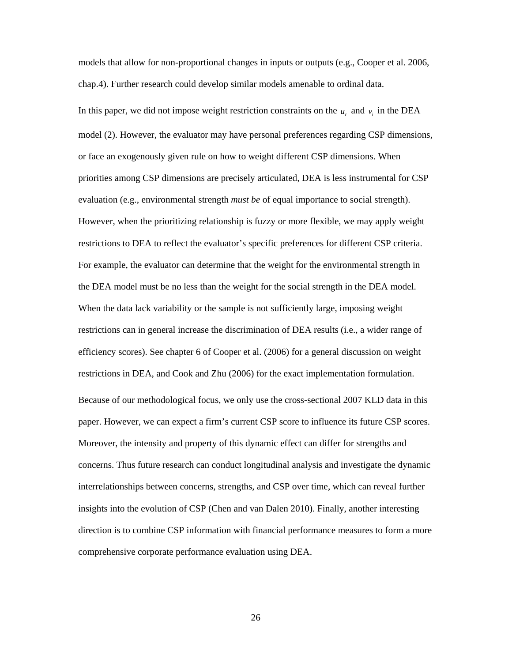models that allow for non-proportional changes in inputs or outputs (e.g., Cooper et al. 2006, chap.4). Further research could develop similar models amenable to ordinal data.

In this paper, we did not impose weight restriction constraints on the  $u_r$  and  $v_i$  in the DEA model (2). However, the evaluator may have personal preferences regarding CSP dimensions, or face an exogenously given rule on how to weight different CSP dimensions. When priorities among CSP dimensions are precisely articulated, DEA is less instrumental for CSP evaluation (e.g., environmental strength *must be* of equal importance to social strength). However, when the prioritizing relationship is fuzzy or more flexible, we may apply weight restrictions to DEA to reflect the evaluator's specific preferences for different CSP criteria. For example, the evaluator can determine that the weight for the environmental strength in the DEA model must be no less than the weight for the social strength in the DEA model. When the data lack variability or the sample is not sufficiently large, imposing weight restrictions can in general increase the discrimination of DEA results (i.e., a wider range of efficiency scores). See chapter 6 of Cooper et al. (2006) for a general discussion on weight restrictions in DEA, and Cook and Zhu (2006) for the exact implementation formulation. Because of our methodological focus, we only use the cross-sectional 2007 KLD data in this paper. However, we can expect a firm's current CSP score to influence its future CSP scores. Moreover, the intensity and property of this dynamic effect can differ for strengths and concerns. Thus future research can conduct longitudinal analysis and investigate the dynamic interrelationships between concerns, strengths, and CSP over time, which can reveal further insights into the evolution of CSP (Chen and van Dalen 2010). Finally, another interesting direction is to combine CSP information with financial performance measures to form a more comprehensive corporate performance evaluation using DEA.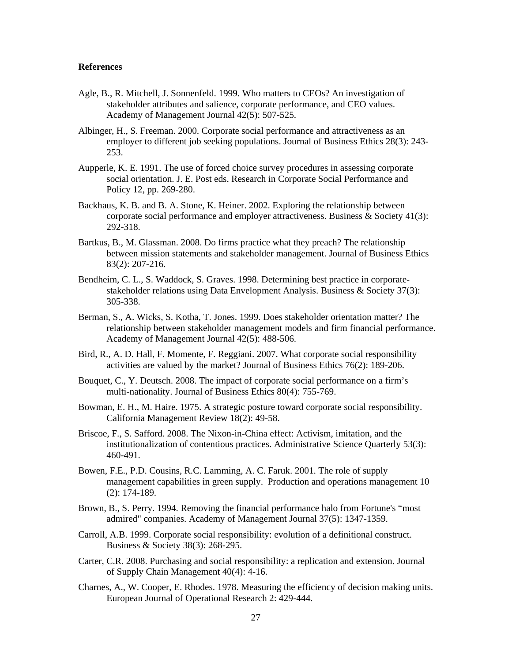#### **References**

- Agle, B., R. Mitchell, J. Sonnenfeld. 1999. Who matters to CEOs? An investigation of stakeholder attributes and salience, corporate performance, and CEO values. Academy of Management Journal 42(5): 507-525.
- Albinger, H., S. Freeman. 2000. Corporate social performance and attractiveness as an employer to different job seeking populations. Journal of Business Ethics 28(3): 243- 253.
- Aupperle, K. E. 1991. The use of forced choice survey procedures in assessing corporate social orientation. J. E. Post eds. Research in Corporate Social Performance and Policy 12, pp. 269-280.
- Backhaus, K. B. and B. A. Stone, K. Heiner. 2002. Exploring the relationship between corporate social performance and employer attractiveness. Business & Society 41(3): 292-318.
- Bartkus, B., M. Glassman. 2008. Do firms practice what they preach? The relationship between mission statements and stakeholder management. Journal of Business Ethics 83(2): 207-216.
- Bendheim, C. L., S. Waddock, S. Graves. 1998. Determining best practice in corporatestakeholder relations using Data Envelopment Analysis. Business & Society 37(3): 305-338.
- Berman, S., A. Wicks, S. Kotha, T. Jones. 1999. Does stakeholder orientation matter? The relationship between stakeholder management models and firm financial performance. Academy of Management Journal 42(5): 488-506.
- Bird, R., A. D. Hall, F. Momente, F. Reggiani. 2007. What corporate social responsibility activities are valued by the market? Journal of Business Ethics 76(2): 189-206.
- Bouquet, C., Y. Deutsch. 2008. The impact of corporate social performance on a firm's multi-nationality. Journal of Business Ethics 80(4): 755-769.
- Bowman, E. H., M. Haire. 1975. A strategic posture toward corporate social responsibility. California Management Review 18(2): 49-58.
- Briscoe, F., S. Safford. 2008. The Nixon-in-China effect: Activism, imitation, and the institutionalization of contentious practices. Administrative Science Quarterly 53(3): 460-491.
- Bowen, F.E., P.D. Cousins, R.C. Lamming, A. C. Faruk. 2001. The role of supply management capabilities in green supply. Production and operations management 10 (2): 174-189.
- Brown, B., S. Perry. 1994. Removing the financial performance halo from Fortune's "most admired" companies. Academy of Management Journal 37(5): 1347-1359.
- Carroll, A.B. 1999. Corporate social responsibility: evolution of a definitional construct. Business & Society 38(3): 268-295.
- Carter, C.R. 2008. Purchasing and social responsibility: a replication and extension. Journal of Supply Chain Management 40(4): 4-16.
- Charnes, A., W. Cooper, E. Rhodes. 1978. Measuring the efficiency of decision making units. European Journal of Operational Research 2: 429-444.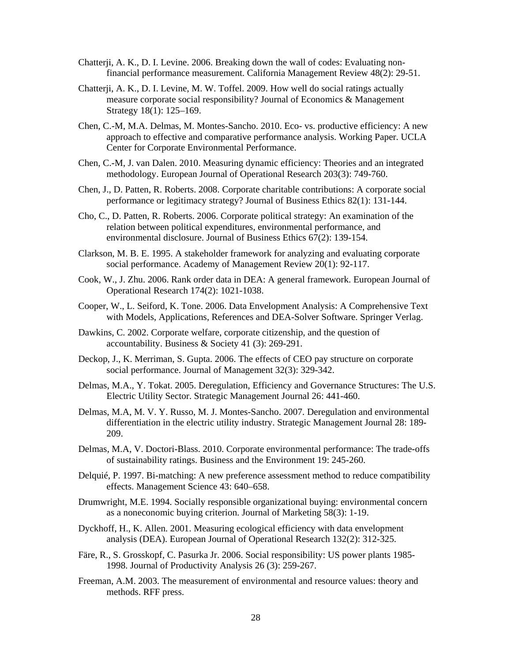- Chatterji, A. K., D. I. Levine. 2006. Breaking down the wall of codes: Evaluating nonfinancial performance measurement. California Management Review 48(2): 29-51.
- Chatterji, A. K., D. I. Levine, M. W. Toffel. 2009. How well do social ratings actually measure corporate social responsibility? Journal of Economics & Management Strategy 18(1): 125–169.
- Chen, C.-M, M.A. Delmas, M. Montes-Sancho. 2010. Eco- vs. productive efficiency: A new approach to effective and comparative performance analysis. Working Paper. UCLA Center for Corporate Environmental Performance.
- Chen, C.-M, J. van Dalen. 2010. Measuring dynamic efficiency: Theories and an integrated methodology. European Journal of Operational Research 203(3): 749-760.
- Chen, J., D. Patten, R. Roberts. 2008. Corporate charitable contributions: A corporate social performance or legitimacy strategy? Journal of Business Ethics 82(1): 131-144.
- Cho, C., D. Patten, R. Roberts. 2006. Corporate political strategy: An examination of the relation between political expenditures, environmental performance, and environmental disclosure. Journal of Business Ethics 67(2): 139-154.
- Clarkson, M. B. E. 1995. A stakeholder framework for analyzing and evaluating corporate social performance. Academy of Management Review 20(1): 92-117.
- Cook, W., J. Zhu. 2006. Rank order data in DEA: A general framework. European Journal of Operational Research 174(2): 1021-1038.
- Cooper, W., L. Seiford, K. Tone. 2006. Data Envelopment Analysis: A Comprehensive Text with Models, Applications, References and DEA-Solver Software. Springer Verlag.
- Dawkins, C. 2002. Corporate welfare, corporate citizenship, and the question of accountability. Business & Society 41 (3): 269-291.
- Deckop, J., K. Merriman, S. Gupta. 2006. The effects of CEO pay structure on corporate social performance. Journal of Management 32(3): 329-342.
- Delmas, M.A., Y. Tokat. 2005. Deregulation, Efficiency and Governance Structures: The U.S. Electric Utility Sector. Strategic Management Journal 26: 441-460.
- Delmas, M.A, M. V. Y. Russo, M. J. Montes-Sancho. 2007. Deregulation and environmental differentiation in the electric utility industry. Strategic Management Journal 28: 189- 209.
- Delmas, M.A, V. Doctori-Blass. 2010. Corporate environmental performance: The trade-offs of sustainability ratings. Business and the Environment 19: 245-260.
- Delquié, P. 1997. Bi-matching: A new preference assessment method to reduce compatibility effects. Management Science 43: 640–658.
- Drumwright, M.E. 1994. Socially responsible organizational buying: environmental concern as a noneconomic buying criterion. Journal of Marketing 58(3): 1-19.
- Dyckhoff, H., K. Allen. 2001. Measuring ecological efficiency with data envelopment analysis (DEA). European Journal of Operational Research 132(2): 312-325.
- Färe, R., S. Grosskopf, C. Pasurka Jr. 2006. Social responsibility: US power plants 1985- 1998. Journal of Productivity Analysis 26 (3): 259-267.
- Freeman, A.M. 2003. The measurement of environmental and resource values: theory and methods. RFF press.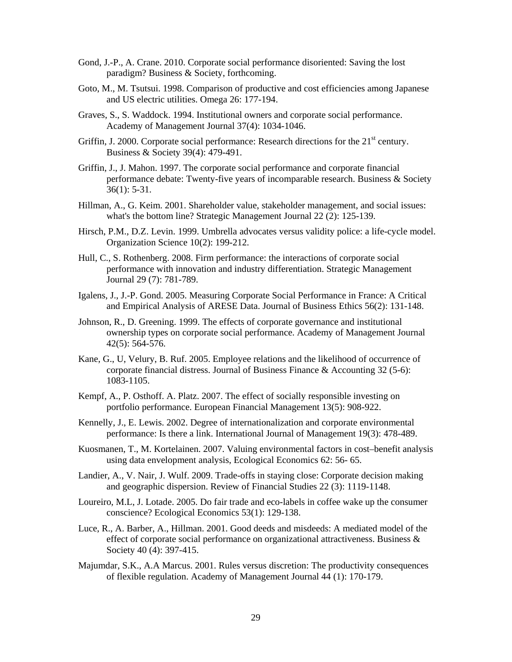- Gond, J.-P., A. Crane. 2010. Corporate social performance disoriented: Saving the lost paradigm? Business & Society, forthcoming.
- Goto, M., M. Tsutsui. 1998. Comparison of productive and cost efficiencies among Japanese and US electric utilities. Omega 26: 177-194.
- Graves, S., S. Waddock. 1994. Institutional owners and corporate social performance. Academy of Management Journal 37(4): 1034-1046.
- Griffin, J. 2000. Corporate social performance: Research directions for the  $21<sup>st</sup>$  century. Business & Society 39(4): 479-491.
- Griffin, J., J. Mahon. 1997. The corporate social performance and corporate financial performance debate: Twenty-five years of incomparable research. Business & Society 36(1): 5-31.
- Hillman, A., G. Keim. 2001. Shareholder value, stakeholder management, and social issues: what's the bottom line? Strategic Management Journal 22 (2): 125-139.
- Hirsch, P.M., D.Z. Levin. 1999. Umbrella advocates versus validity police: a life-cycle model. Organization Science 10(2): 199-212.
- Hull, C., S. Rothenberg. 2008. Firm performance: the interactions of corporate social performance with innovation and industry differentiation. Strategic Management Journal 29 (7): 781-789.
- Igalens, J., J.-P. Gond. 2005. Measuring Corporate Social Performance in France: A Critical and Empirical Analysis of ARESE Data. Journal of Business Ethics 56(2): 131-148.
- Johnson, R., D. Greening. 1999. The effects of corporate governance and institutional ownership types on corporate social performance. Academy of Management Journal 42(5): 564-576.
- Kane, G., U, Velury, B. Ruf. 2005. Employee relations and the likelihood of occurrence of corporate financial distress. Journal of Business Finance & Accounting 32 (5-6): 1083-1105.
- Kempf, A., P. Osthoff. A. Platz. 2007. The effect of socially responsible investing on portfolio performance. European Financial Management 13(5): 908-922.
- Kennelly, J., E. Lewis. 2002. Degree of internationalization and corporate environmental performance: Is there a link. International Journal of Management 19(3): 478-489.
- Kuosmanen, T., M. Kortelainen. 2007. Valuing environmental factors in cost–benefit analysis using data envelopment analysis, Ecological Economics 62: 56- 65.
- Landier, A., V. Nair, J. Wulf. 2009. Trade-offs in staying close: Corporate decision making and geographic dispersion. Review of Financial Studies 22 (3): 1119-1148.
- Loureiro, M.L, J. Lotade. 2005. Do fair trade and eco-labels in coffee wake up the consumer conscience? Ecological Economics 53(1): 129-138.
- Luce, R., A. Barber, A., Hillman. 2001. Good deeds and misdeeds: A mediated model of the effect of corporate social performance on organizational attractiveness. Business & Society 40 (4): 397-415.
- Majumdar, S.K., A.A Marcus. 2001. Rules versus discretion: The productivity consequences of flexible regulation. Academy of Management Journal 44 (1): 170-179.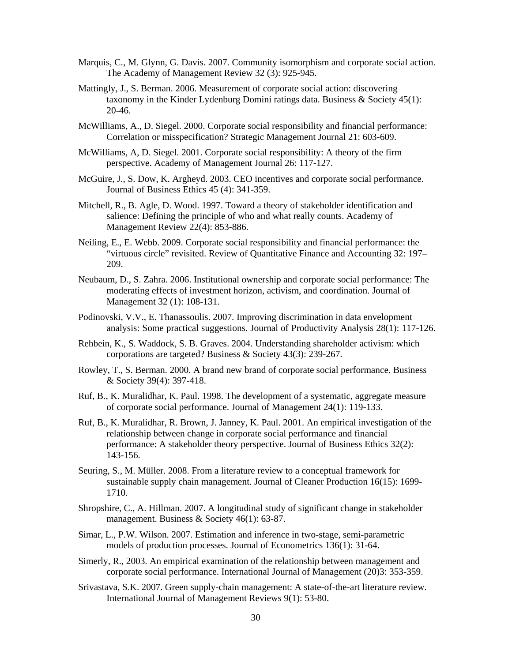- Marquis, C., M. Glynn, G. Davis. 2007. Community isomorphism and corporate social action. The Academy of Management Review 32 (3): 925-945.
- Mattingly, J., S. Berman. 2006. Measurement of corporate social action: discovering taxonomy in the Kinder Lydenburg Domini ratings data. Business & Society 45(1): 20-46.
- McWilliams, A., D. Siegel. 2000. Corporate social responsibility and financial performance: Correlation or misspecification? Strategic Management Journal 21: 603-609.
- McWilliams, A, D. Siegel. 2001. Corporate social responsibility: A theory of the firm perspective. Academy of Management Journal 26: 117-127.
- McGuire, J., S. Dow, K. Argheyd. 2003. CEO incentives and corporate social performance. Journal of Business Ethics 45 (4): 341-359.
- Mitchell, R., B. Agle, D. Wood. 1997. Toward a theory of stakeholder identification and salience: Defining the principle of who and what really counts. Academy of Management Review 22(4): 853-886.
- Neiling, E., E. Webb. 2009. Corporate social responsibility and financial performance: the "virtuous circle" revisited. Review of Quantitative Finance and Accounting 32: 197– 209.
- Neubaum, D., S. Zahra. 2006. Institutional ownership and corporate social performance: The moderating effects of investment horizon, activism, and coordination. Journal of Management 32 (1): 108-131.
- Podinovski, V.V., E. Thanassoulis. 2007. Improving discrimination in data envelopment analysis: Some practical suggestions. Journal of Productivity Analysis 28(1): 117-126.
- Rehbein, K., S. Waddock, S. B. Graves. 2004. Understanding shareholder activism: which corporations are targeted? Business & Society 43(3): 239-267.
- Rowley, T., S. Berman. 2000. A brand new brand of corporate social performance. Business & Society 39(4): 397-418.
- Ruf, B., K. Muralidhar, K. Paul. 1998. The development of a systematic, aggregate measure of corporate social performance. Journal of Management 24(1): 119-133.
- Ruf, B., K. Muralidhar, R. Brown, J. Janney, K. Paul. 2001. An empirical investigation of the relationship between change in corporate social performance and financial performance: A stakeholder theory perspective. Journal of Business Ethics 32(2): 143-156.
- Seuring, S., M. Müller. 2008. From a literature review to a conceptual framework for sustainable supply chain management. Journal of Cleaner Production 16(15): 1699- 1710.
- Shropshire, C., A. Hillman. 2007. A longitudinal study of significant change in stakeholder management. Business & Society 46(1): 63-87.
- Simar, L., P.W. Wilson. 2007. Estimation and inference in two-stage, semi-parametric models of production processes. Journal of Econometrics 136(1): 31-64.
- Simerly, R., 2003. An empirical examination of the relationship between management and corporate social performance. International Journal of Management (20)3: 353-359.
- Srivastava, S.K. 2007. Green supply-chain management: A state-of-the-art literature review. International Journal of Management Reviews 9(1): 53-80.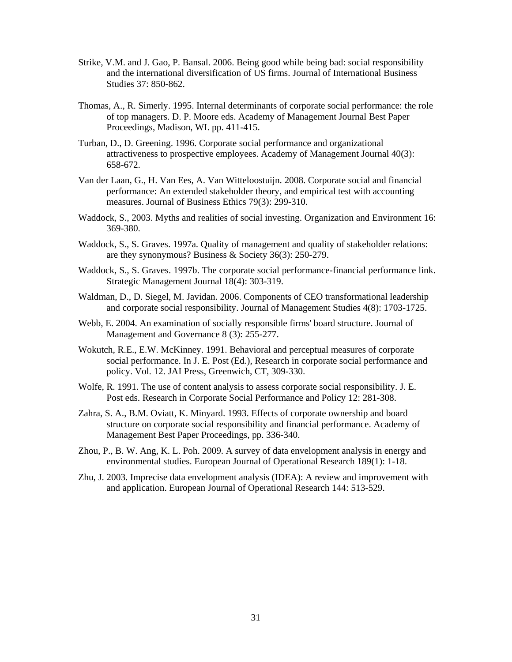- Strike, V.M. and J. Gao, P. Bansal. 2006. Being good while being bad: social responsibility and the international diversification of US firms. Journal of International Business Studies 37: 850-862.
- Thomas, A., R. Simerly. 1995. Internal determinants of corporate social performance: the role of top managers. D. P. Moore eds. Academy of Management Journal Best Paper Proceedings, Madison, WI. pp. 411-415.
- Turban, D., D. Greening. 1996. Corporate social performance and organizational attractiveness to prospective employees. Academy of Management Journal 40(3): 658-672.
- Van der Laan, G., H. Van Ees, A. Van Witteloostuijn. 2008. Corporate social and financial performance: An extended stakeholder theory, and empirical test with accounting measures. Journal of Business Ethics 79(3): 299-310.
- Waddock, S., 2003. Myths and realities of social investing. Organization and Environment 16: 369-380.
- Waddock, S., S. Graves. 1997a. Quality of management and quality of stakeholder relations: are they synonymous? Business & Society 36(3): 250-279.
- Waddock, S., S. Graves. 1997b. The corporate social performance-financial performance link. Strategic Management Journal 18(4): 303-319.
- Waldman, D., D. Siegel, M. Javidan. 2006. Components of CEO transformational leadership and corporate social responsibility. Journal of Management Studies 4(8): 1703-1725.
- Webb, E. 2004. An examination of socially responsible firms' board structure. Journal of Management and Governance 8 (3): 255-277.
- Wokutch, R.E., E.W. McKinney. 1991. Behavioral and perceptual measures of corporate social performance. In J. E. Post (Ed.), Research in corporate social performance and policy. Vol. 12. JAI Press, Greenwich, CT, 309-330.
- Wolfe, R. 1991. The use of content analysis to assess corporate social responsibility. J. E. Post eds. Research in Corporate Social Performance and Policy 12: 281-308.
- Zahra, S. A., B.M. Oviatt, K. Minyard. 1993. Effects of corporate ownership and board structure on corporate social responsibility and financial performance. Academy of Management Best Paper Proceedings, pp. 336-340.
- Zhou, P., B. W. Ang, K. L. Poh. 2009. A survey of data envelopment analysis in energy and environmental studies. European Journal of Operational Research 189(1): 1-18.
- Zhu, J. 2003. Imprecise data envelopment analysis (IDEA): A review and improvement with and application. European Journal of Operational Research 144: 513-529.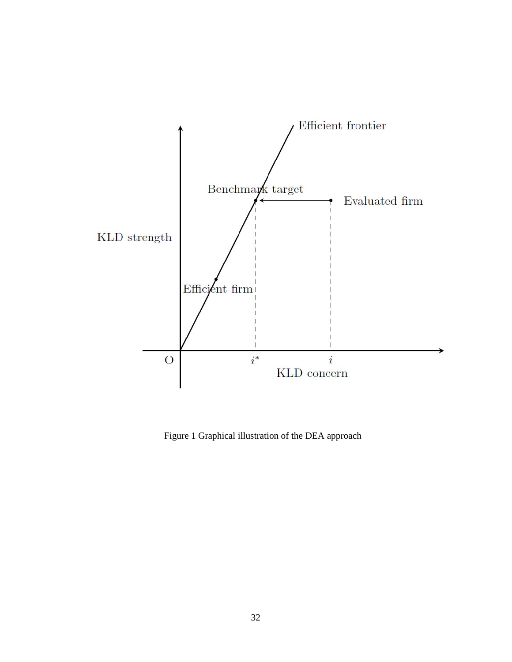

Figure 1 Graphical illustration of the DEA approach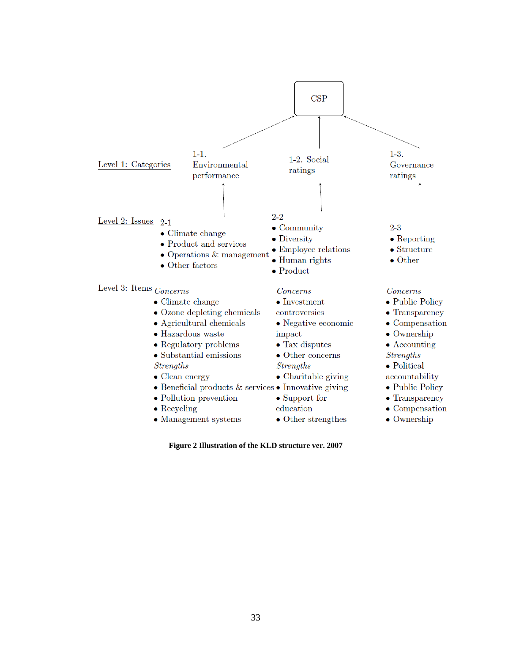

**Figure 2 Illustration of the KLD structure ver. 2007**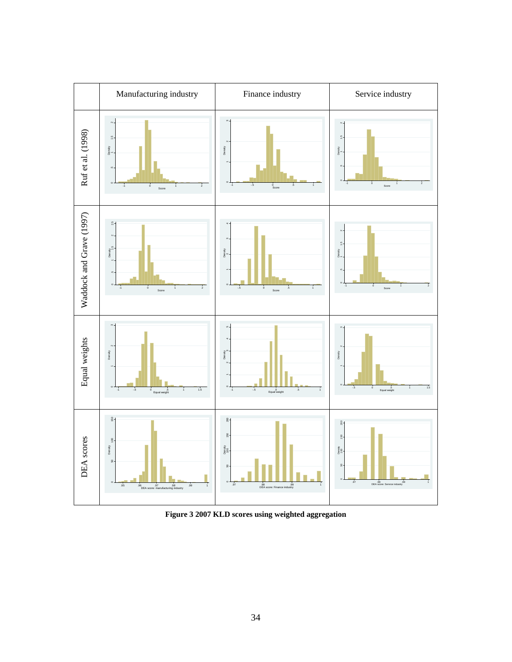

**Figure 3 2007 KLD scores using weighted aggregation**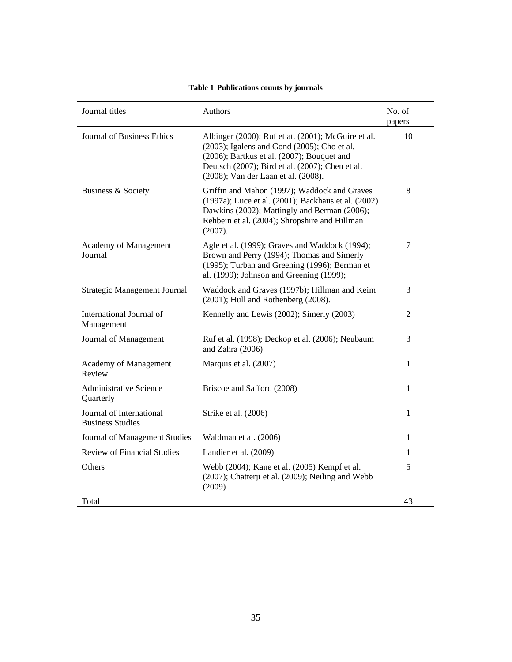| Journal titles                                      | Authors                                                                                                                                                                                                                                         | No. of<br>papers |
|-----------------------------------------------------|-------------------------------------------------------------------------------------------------------------------------------------------------------------------------------------------------------------------------------------------------|------------------|
| <b>Journal of Business Ethics</b>                   | Albinger (2000); Ruf et at. (2001); McGuire et al.<br>(2003); Igalens and Gond (2005); Cho et al.<br>$(2006)$ ; Bartkus et al. $(2007)$ ; Bouquet and<br>Deutsch (2007); Bird et al. (2007); Chen et al.<br>(2008); Van der Laan et al. (2008). | 10               |
| Business & Society                                  | Griffin and Mahon (1997); Waddock and Graves<br>(1997a); Luce et al. (2001); Backhaus et al. (2002)<br>Dawkins (2002); Mattingly and Berman (2006);<br>Rehbein et al. (2004); Shropshire and Hillman<br>(2007).                                 | 8                |
| Academy of Management<br>Journal                    | Agle et al. (1999); Graves and Waddock (1994);<br>Brown and Perry (1994); Thomas and Simerly<br>(1995); Turban and Greening (1996); Berman et<br>al. (1999); Johnson and Greening (1999);                                                       | $\overline{7}$   |
| Strategic Management Journal                        | Waddock and Graves (1997b); Hillman and Keim<br>$(2001)$ ; Hull and Rothenberg $(2008)$ .                                                                                                                                                       | 3                |
| International Journal of<br>Management              | Kennelly and Lewis (2002); Simerly (2003)                                                                                                                                                                                                       | $\overline{2}$   |
| Journal of Management                               | Ruf et al. (1998); Deckop et al. (2006); Neubaum<br>and Zahra (2006)                                                                                                                                                                            | 3                |
| Academy of Management<br>Review                     | Marquis et al. (2007)                                                                                                                                                                                                                           | $\mathbf{1}$     |
| <b>Administrative Science</b><br>Quarterly          | Briscoe and Safford (2008)                                                                                                                                                                                                                      | $\mathbf{1}$     |
| Journal of International<br><b>Business Studies</b> | Strike et al. (2006)                                                                                                                                                                                                                            | $\mathbf{1}$     |
| Journal of Management Studies                       | Waldman et al. (2006)                                                                                                                                                                                                                           | 1                |
| <b>Review of Financial Studies</b>                  | Landier et al. (2009)                                                                                                                                                                                                                           | 1                |
| Others                                              | Webb (2004); Kane et al. (2005) Kempf et al.<br>(2007); Chatterji et al. (2009); Neiling and Webb<br>(2009)                                                                                                                                     | 5                |
| Total                                               |                                                                                                                                                                                                                                                 | 43               |

# **Table 1 Publications counts by journals**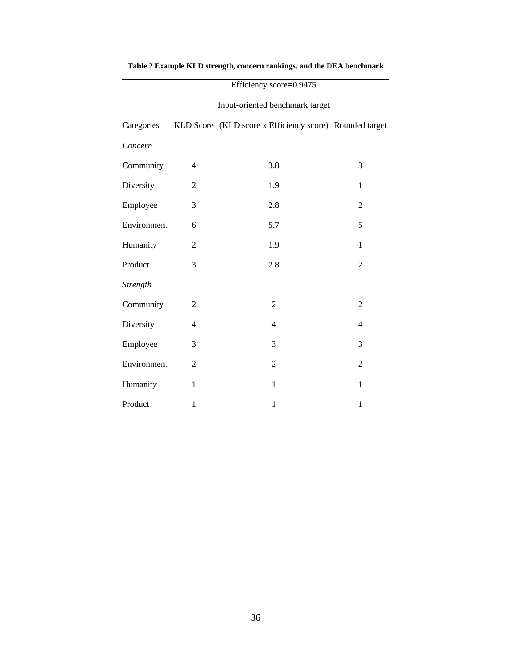|             |                | Input-oriented benchmark target                         |                |
|-------------|----------------|---------------------------------------------------------|----------------|
| Categories  |                | KLD Score (KLD score x Efficiency score) Rounded target |                |
| Concern     |                |                                                         |                |
| Community   | 4              | 3.8                                                     | 3              |
| Diversity   | $\overline{2}$ | 1.9                                                     | 1              |
| Employee    | 3              | 2.8                                                     | $\overline{2}$ |
| Environment | 6              | 5.7                                                     | 5              |
| Humanity    | $\overline{2}$ | 1.9                                                     | 1              |
| Product     | 3              | 2.8                                                     | $\overline{2}$ |
| Strength    |                |                                                         |                |
| Community   | $\overline{2}$ | $\mathbf{2}$                                            | $\overline{2}$ |
| Diversity   | $\overline{4}$ | $\overline{4}$                                          | $\overline{4}$ |
| Employee    | 3              | 3                                                       | 3              |
| Environment | $\overline{2}$ | $\overline{2}$                                          | $\overline{2}$ |
| Humanity    | $\mathbf{1}$   | $\mathbf{1}$                                            | $\mathbf{1}$   |
| Product     | $\mathbf{1}$   | $\mathbf{1}$                                            | $\mathbf{1}$   |

# **Table 2 Example KLD strength, concern rankings, and the DEA benchmark**

Efficiency score=0.9475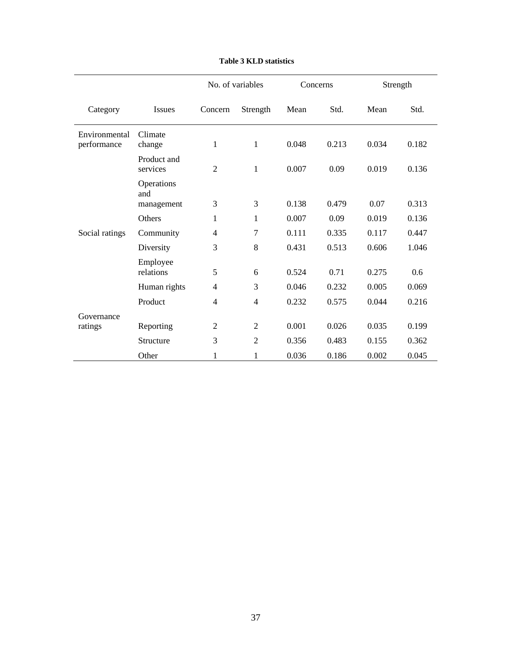|                              |                         | No. of variables |                | Concerns |       | Strength |       |
|------------------------------|-------------------------|------------------|----------------|----------|-------|----------|-------|
| Category                     | <b>Issues</b>           | Concern          | Strength       | Mean     | Std.  | Mean     | Std.  |
| Environmental<br>performance | Climate<br>change       | 1                | $\mathbf{1}$   | 0.048    | 0.213 | 0.034    | 0.182 |
|                              | Product and<br>services | 2                | $\mathbf{1}$   | 0.007    | 0.09  | 0.019    | 0.136 |
|                              | Operations<br>and       |                  |                |          |       |          |       |
|                              | management              | 3                | 3              | 0.138    | 0.479 | 0.07     | 0.313 |
|                              | <b>Others</b>           | 1                | $\mathbf{1}$   | 0.007    | 0.09  | 0.019    | 0.136 |
| Social ratings               | Community               | $\overline{4}$   | 7              | 0.111    | 0.335 | 0.117    | 0.447 |
|                              | Diversity               | 3                | 8              | 0.431    | 0.513 | 0.606    | 1.046 |
|                              | Employee                |                  |                |          |       |          |       |
|                              | relations               | 5                | 6              | 0.524    | 0.71  | 0.275    | 0.6   |
|                              | Human rights            | 4                | 3              | 0.046    | 0.232 | 0.005    | 0.069 |
|                              | Product                 | $\overline{4}$   | $\overline{4}$ | 0.232    | 0.575 | 0.044    | 0.216 |
| Governance                   |                         |                  |                |          |       |          |       |
| ratings                      | Reporting               | $\overline{2}$   | $\overline{c}$ | 0.001    | 0.026 | 0.035    | 0.199 |
|                              | Structure               | 3                | $\overline{2}$ | 0.356    | 0.483 | 0.155    | 0.362 |
|                              | Other                   | 1                | 1              | 0.036    | 0.186 | 0.002    | 0.045 |

### **Table 3 KLD statistics**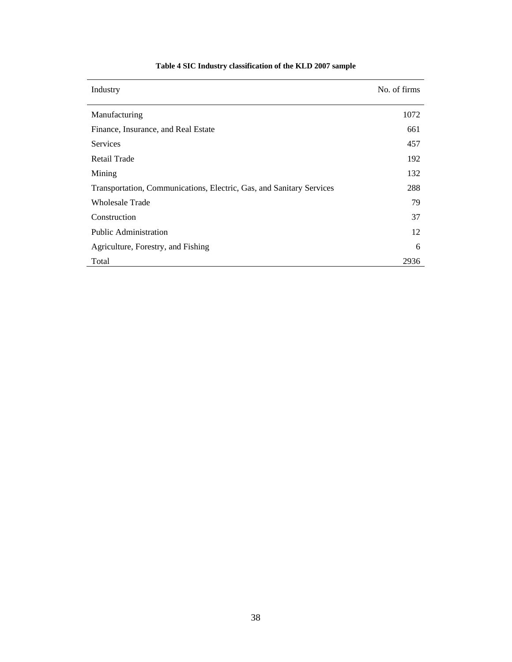| Industry                                                             | No. of firms |
|----------------------------------------------------------------------|--------------|
| Manufacturing                                                        | 1072         |
| Finance, Insurance, and Real Estate                                  | 661          |
| <b>Services</b>                                                      | 457          |
| <b>Retail Trade</b>                                                  | 192          |
| Mining                                                               | 132          |
| Transportation, Communications, Electric, Gas, and Sanitary Services | 288          |
| Wholesale Trade                                                      | 79           |
| Construction                                                         | 37           |
| Public Administration                                                | 12           |
| Agriculture, Forestry, and Fishing                                   | 6            |
| Total                                                                | 2936         |

# **Table 4 SIC Industry classification of the KLD 2007 sample**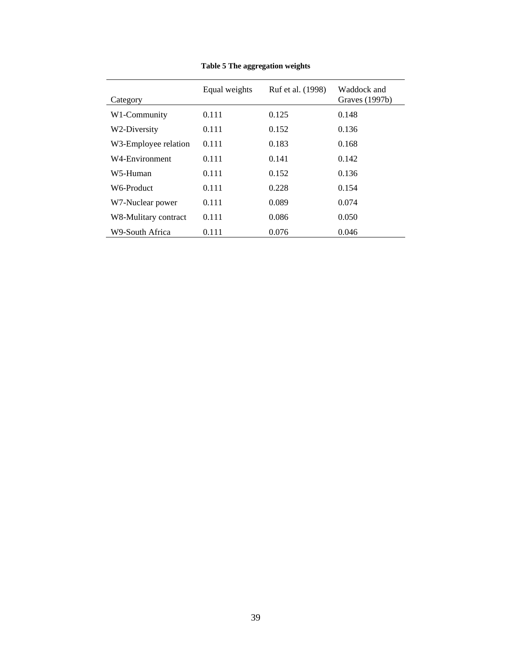| Category             | Equal weights | Ruf et al. (1998) | Waddock and<br>Graves (1997b) |
|----------------------|---------------|-------------------|-------------------------------|
| W1-Community         | 0.111         | 0.125             | 0.148                         |
| W2-Diversity         | 0.111         | 0.152             | 0.136                         |
| W3-Employee relation | 0.111         | 0.183             | 0.168                         |
| W4-Environment       | 0.111         | 0.141             | 0.142                         |
| W5-Human             | 0.111         | 0.152             | 0.136                         |
| W6-Product           | 0.111         | 0.228             | 0.154                         |
| W7-Nuclear power     | 0.111         | 0.089             | 0.074                         |
| W8-Mulitary contract | 0.111         | 0.086             | 0.050                         |
| W9-South Africa      | 0.111         | 0.076             | 0.046                         |

**Table 5 The aggregation weights**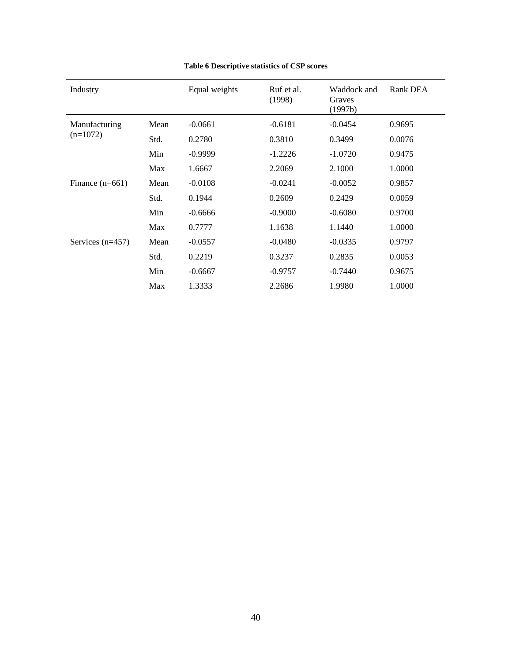| Industry           |      | Equal weights | Ruf et al.<br>(1998) | Waddock and<br>Graves<br>(1997b) | Rank DEA |
|--------------------|------|---------------|----------------------|----------------------------------|----------|
| Manufacturing      | Mean | $-0.0661$     | $-0.6181$            | $-0.0454$                        | 0.9695   |
| $(n=1072)$         | Std. | 0.2780        | 0.3810               | 0.3499                           | 0.0076   |
| Min                |      | $-0.9999$     | $-1.2226$            | $-1.0720$                        | 0.9475   |
|                    | Max  | 1.6667        | 2.2069               | 2.1000                           | 1.0000   |
| Finance $(n=661)$  | Mean | $-0.0108$     | $-0.0241$            | $-0.0052$                        | 0.9857   |
|                    | Std. | 0.1944        | 0.2609               | 0.2429                           | 0.0059   |
|                    | Min  | $-0.6666$     | $-0.9000$            | $-0.6080$                        | 0.9700   |
|                    | Max  | 0.7777        | 1.1638               | 1.1440                           | 1.0000   |
| Services $(n=457)$ | Mean | $-0.0557$     | $-0.0480$            | $-0.0335$                        | 0.9797   |
|                    | Std. | 0.2219        | 0.3237               | 0.2835                           | 0.0053   |
|                    | Min  | $-0.6667$     | $-0.9757$            | $-0.7440$                        | 0.9675   |
|                    | Max  | 1.3333        | 2.2686               | 1.9980                           | 1.0000   |

# **Table 6 Descriptive statistics of CSP scores**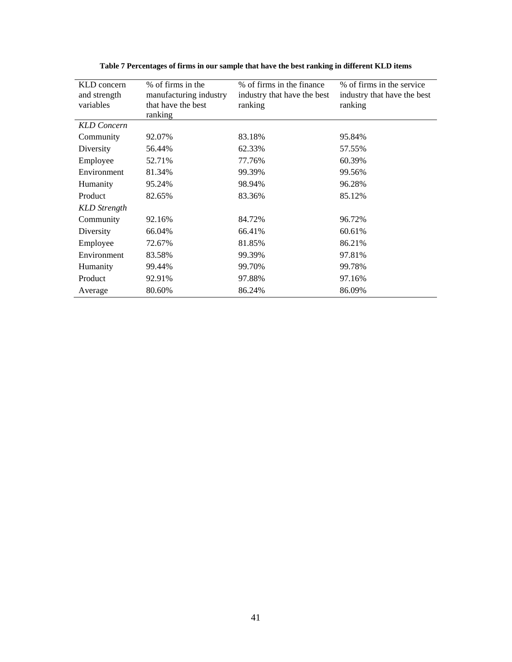| KLD concern        | % of firms in the      | % of firms in the finance   | % of firms in the service   |
|--------------------|------------------------|-----------------------------|-----------------------------|
| and strength       | manufacturing industry | industry that have the best | industry that have the best |
| variables          | that have the best     | ranking                     | ranking                     |
|                    | ranking                |                             |                             |
| <b>KLD</b> Concern |                        |                             |                             |
| Community          | 92.07%                 | 83.18%                      | 95.84%                      |
| Diversity          | 56.44%                 | 62.33%                      | 57.55%                      |
| Employee           | 52.71%                 | 77.76%                      | 60.39%                      |
| Environment        | 81.34%                 | 99.39%                      | 99.56%                      |
| Humanity           | 95.24%                 | 98.94%                      | 96.28%                      |
| Product            | 82.65%                 | 83.36%                      | 85.12%                      |
| KLD Strength       |                        |                             |                             |
| Community          | 92.16%                 | 84.72%                      | 96.72%                      |
| Diversity          | 66.04%                 | 66.41%                      | 60.61%                      |
| Employee           | 72.67%                 | 81.85%                      | 86.21%                      |
| Environment        | 83.58%                 | 99.39%                      | 97.81%                      |
| Humanity           | 99.44%                 | 99.70%                      | 99.78%                      |
| Product            | 92.91%                 | 97.88%                      | 97.16%                      |
| Average            | 80.60%                 | 86.24%                      | 86.09%                      |

**Table 7 Percentages of firms in our sample that have the best ranking in different KLD items**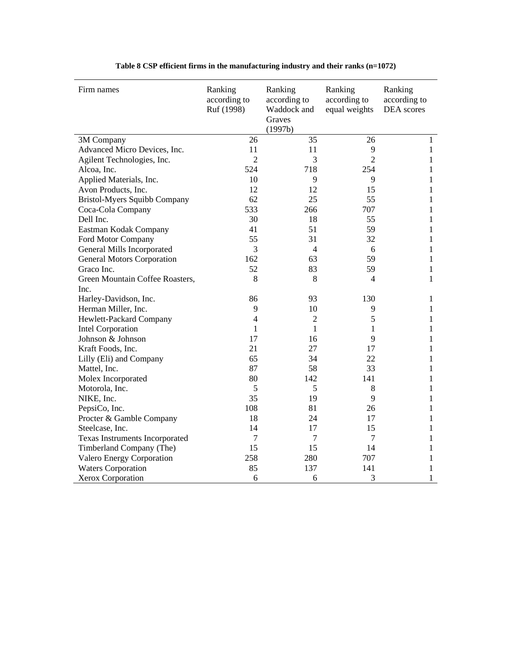| Firm names                          | Ranking<br>according to<br>Ruf (1998) | Ranking<br>according to<br>Waddock and<br>Graves<br>(1997b) | Ranking<br>according to<br>equal weights | Ranking<br>according to<br>DEA scores |
|-------------------------------------|---------------------------------------|-------------------------------------------------------------|------------------------------------------|---------------------------------------|
| 3M Company                          | 26                                    | 35                                                          | 26                                       | $\mathbf{1}$                          |
| Advanced Micro Devices, Inc.        | 11                                    | 11                                                          | 9                                        | $\mathbf{1}$                          |
| Agilent Technologies, Inc.          | $\overline{c}$                        | 3                                                           | $\overline{2}$                           | 1                                     |
| Alcoa, Inc.                         | 524                                   | 718                                                         | 254                                      | 1                                     |
| Applied Materials, Inc.             | 10                                    | 9                                                           | 9                                        | 1                                     |
| Avon Products, Inc.                 | 12                                    | 12                                                          | 15                                       | $\mathbf{1}$                          |
| <b>Bristol-Myers Squibb Company</b> | 62                                    | 25                                                          | 55                                       | $\mathbf{1}$                          |
| Coca-Cola Company                   | 533                                   | 266                                                         | 707                                      | $\mathbf{1}$                          |
| Dell Inc.                           | 30                                    | 18                                                          | 55                                       | 1                                     |
| Eastman Kodak Company               | 41                                    | 51                                                          | 59                                       | $\mathbf{1}$                          |
| Ford Motor Company                  | 55                                    | 31                                                          | 32                                       | $\mathbf{1}$                          |
| General Mills Incorporated          | 3                                     | $\overline{4}$                                              | 6                                        | $\mathbf{1}$                          |
| <b>General Motors Corporation</b>   | 162                                   | 63                                                          | 59                                       | $\mathbf{1}$                          |
| Graco Inc.                          | 52                                    | 83                                                          | 59                                       | $\mathbf{1}$                          |
| Green Mountain Coffee Roasters,     | 8                                     | 8                                                           | $\overline{4}$                           | $\mathbf{1}$                          |
| Inc.                                |                                       |                                                             |                                          |                                       |
| Harley-Davidson, Inc.               | 86                                    | 93                                                          | 130                                      | 1                                     |
| Herman Miller, Inc.                 | 9                                     | 10                                                          | 9                                        | 1                                     |
| Hewlett-Packard Company             | $\overline{4}$                        | $\overline{2}$                                              | 5                                        | $\mathbf{1}$                          |
| <b>Intel Corporation</b>            | $\mathbf{1}$                          | $\mathbf{1}$                                                | $\mathbf{1}$                             | $\mathbf{1}$                          |
| Johnson & Johnson                   | 17                                    | 16                                                          | 9                                        | $\mathbf{1}$                          |
| Kraft Foods, Inc.                   | 21                                    | 27                                                          | 17                                       | $\mathbf{1}$                          |
| Lilly (Eli) and Company             | 65                                    | 34                                                          | 22                                       | $\mathbf{1}$                          |
| Mattel, Inc.                        | 87                                    | 58                                                          | 33                                       | 1                                     |
| Molex Incorporated                  | 80                                    | 142                                                         | 141                                      | 1                                     |
| Motorola, Inc.                      | 5                                     | 5                                                           | $8\,$                                    | $\mathbf{1}$                          |
| NIKE, Inc.                          | 35                                    | 19                                                          | 9                                        | $\mathbf{1}$                          |
| PepsiCo, Inc.                       | 108                                   | 81                                                          | 26                                       | $\mathbf{1}$                          |
| Procter & Gamble Company            | 18                                    | 24                                                          | 17                                       | 1                                     |
| Steelcase, Inc.                     | 14                                    | 17                                                          | 15                                       | 1                                     |
| Texas Instruments Incorporated      | 7                                     | 7                                                           | 7                                        | 1                                     |
| Timberland Company (The)            | 15                                    | 15                                                          | 14                                       | $\mathbf{1}$                          |
| Valero Energy Corporation           | 258                                   | 280                                                         | 707                                      | $\mathbf{1}$                          |
| <b>Waters Corporation</b>           | 85                                    | 137                                                         | 141                                      | 1                                     |
| Xerox Corporation                   | 6                                     | 6                                                           | 3                                        | 1                                     |

**Table 8 CSP efficient firms in the manufacturing industry and their ranks (n=1072)**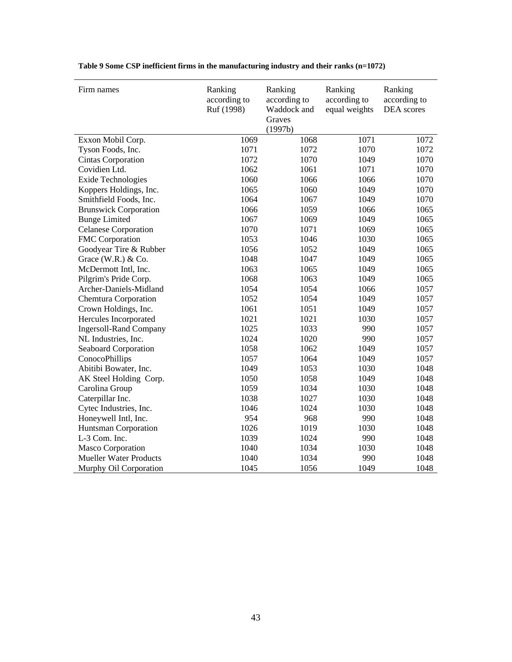| Firm names                    | Ranking<br>according to<br>Ruf (1998) | Ranking<br>according to<br>Waddock and<br>Graves | Ranking<br>according to<br>equal weights | Ranking<br>according to<br>DEA scores |
|-------------------------------|---------------------------------------|--------------------------------------------------|------------------------------------------|---------------------------------------|
|                               |                                       | (1997b)                                          |                                          |                                       |
| Exxon Mobil Corp.             | 1069                                  | 1068                                             | 1071                                     | 1072                                  |
| Tyson Foods, Inc.             | 1071                                  | 1072                                             | 1070                                     | 1072                                  |
| Cintas Corporation            | 1072                                  | 1070                                             | 1049                                     | 1070                                  |
| Covidien Ltd.                 | 1062                                  | 1061                                             | 1071                                     | 1070                                  |
| <b>Exide Technologies</b>     | 1060                                  | 1066                                             | 1066                                     | 1070                                  |
| Koppers Holdings, Inc.        | 1065                                  | 1060                                             | 1049                                     | 1070                                  |
| Smithfield Foods, Inc.        | 1064                                  | 1067                                             | 1049                                     | 1070                                  |
| <b>Brunswick Corporation</b>  | 1066                                  | 1059                                             | 1066                                     | 1065                                  |
| <b>Bunge Limited</b>          | 1067                                  | 1069                                             | 1049                                     | 1065                                  |
| <b>Celanese Corporation</b>   | 1070                                  | 1071                                             | 1069                                     | 1065                                  |
| FMC Corporation               | 1053                                  | 1046                                             | 1030                                     | 1065                                  |
| Goodyear Tire & Rubber        | 1056                                  | 1052                                             | 1049                                     | 1065                                  |
| Grace (W.R.) $& Co.$          | 1048                                  | 1047                                             | 1049                                     | 1065                                  |
| McDermott Intl, Inc.          | 1063                                  | 1065                                             | 1049                                     | 1065                                  |
| Pilgrim's Pride Corp.         | 1068                                  | 1063                                             | 1049                                     | 1065                                  |
| Archer-Daniels-Midland        | 1054                                  | 1054                                             | 1066                                     | 1057                                  |
| <b>Chemtura Corporation</b>   | 1052                                  | 1054                                             | 1049                                     | 1057                                  |
| Crown Holdings, Inc.          | 1061                                  | 1051                                             | 1049                                     | 1057                                  |
| Hercules Incorporated         | 1021                                  | 1021                                             | 1030                                     | 1057                                  |
| <b>Ingersoll-Rand Company</b> | 1025                                  | 1033                                             | 990                                      | 1057                                  |
| NL Industries, Inc.           | 1024                                  | 1020                                             | 990                                      | 1057                                  |
| Seaboard Corporation          | 1058                                  | 1062                                             | 1049                                     | 1057                                  |
| ConocoPhillips                | 1057                                  | 1064                                             | 1049                                     | 1057                                  |
| Abitibi Bowater, Inc.         | 1049                                  | 1053                                             | 1030                                     | 1048                                  |
| AK Steel Holding Corp.        | 1050                                  | 1058                                             | 1049                                     | 1048                                  |
| Carolina Group                | 1059                                  | 1034                                             | 1030                                     | 1048                                  |
| Caterpillar Inc.              | 1038                                  | 1027                                             | 1030                                     | 1048                                  |
| Cytec Industries, Inc.        | 1046                                  | 1024                                             | 1030                                     | 1048                                  |
| Honeywell Intl, Inc.          | 954                                   | 968                                              | 990                                      | 1048                                  |
| Huntsman Corporation          | 1026                                  | 1019                                             | 1030                                     | 1048                                  |
| L-3 Com. Inc.                 | 1039                                  | 1024                                             | 990                                      | 1048                                  |
| Masco Corporation             | 1040                                  | 1034                                             | 1030                                     | 1048                                  |
| <b>Mueller Water Products</b> | 1040                                  | 1034                                             | 990                                      | 1048                                  |
| Murphy Oil Corporation        | 1045                                  | 1056                                             | 1049                                     | 1048                                  |

# **Table 9 Some CSP inefficient firms in the manufacturing industry and their ranks (n=1072)**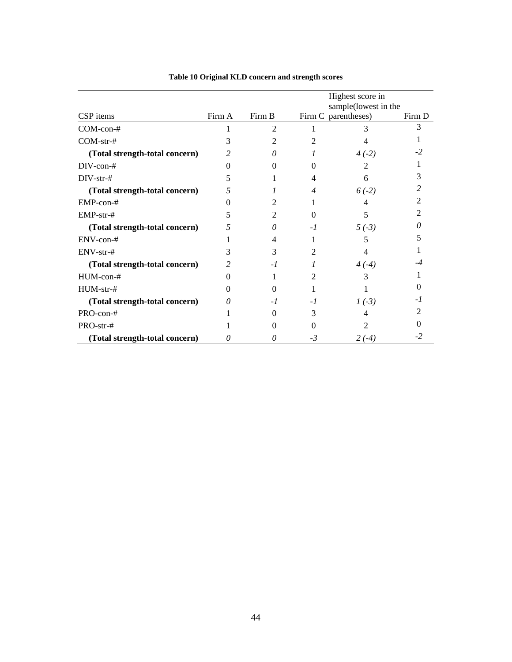|                                | Highest score in |          |                     |                      |        |
|--------------------------------|------------------|----------|---------------------|----------------------|--------|
|                                |                  |          |                     | sample(lowest in the |        |
| CSP items                      | Firm A           | Firm B   | Firm C parentheses) |                      | Firm D |
| $COM-con-#$                    |                  | 2        |                     | 3                    |        |
| $COM-str-#$                    | 3                | 2        |                     | 4                    |        |
| (Total strength-total concern) | $\mathfrak{D}$   | 0        |                     | $4(-2)$              |        |
| $DIV-con-#$                    |                  | $\Omega$ | 0                   | $\mathfrak{D}$       |        |
| DIV-str-#                      | ད                |          | 4                   | 6                    |        |
| (Total strength-total concern) | 5                |          | 4                   | $6(-2)$              |        |
| EMP-con-#                      |                  | 2        |                     | 4                    |        |
| $EMP-str-#$                    | 5                | 2        | 0                   | 5                    |        |
| (Total strength-total concern) | 5                | 0        | $-I$                | $5(-3)$              |        |
| ENV-con-#                      |                  | 4        |                     | 5                    |        |
| ENV-str-#                      | 3                | 3        | 2                   | 4                    |        |
| (Total strength-total concern) | 2                | $-1$     |                     | $4(-4)$              |        |
| $HUM$ -con-#                   |                  |          | 2                   | 3                    |        |
| HUM-str-#                      |                  | 0        |                     |                      |        |
| (Total strength-total concern) | $\theta$         | $-I$     | -1                  | $1(-3)$              |        |
| PRO-con-#                      |                  | 0        | 3                   | 4                    |        |
| PRO-str-#                      |                  | 0        | 0                   |                      |        |
| (Total strength-total concern) | 0                | 0        | $-3$                | $2(-4)$              | -2     |

# **Table 10 Original KLD concern and strength scores**